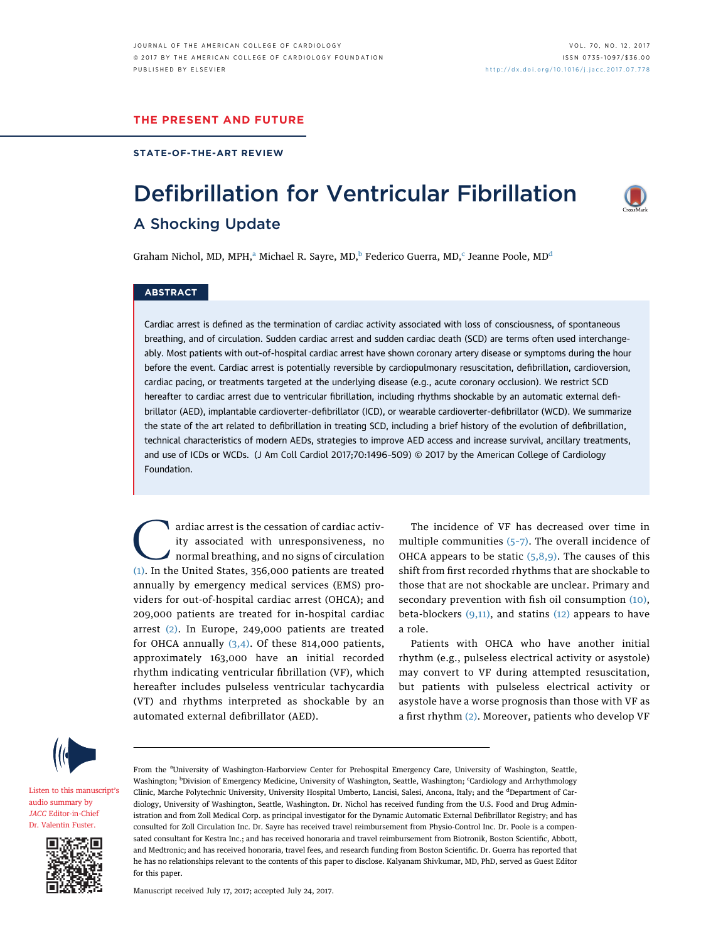#### THE PRESENT AND FUTURE

#### STATE-OF-THE-ART REVIEW

A Shocking Update

# Defibrillation for Ventricular Fibrillation



## Graham Nichol, MD, MPH,<sup>a</sup> Michael R. Sayre, MD,<sup>b</sup> Federico Guerra, MD,<sup>c</sup> Jeanne Poole, MD<sup>d</sup>

## **ABSTRACT**

Cardiac arrest is defined as the termination of cardiac activity associated with loss of consciousness, of spontaneous breathing, and of circulation. Sudden cardiac arrest and sudden cardiac death (SCD) are terms often used interchangeably. Most patients with out-of-hospital cardiac arrest have shown coronary artery disease or symptoms during the hour before the event. Cardiac arrest is potentially reversible by cardiopulmonary resuscitation, defibrillation, cardioversion, cardiac pacing, or treatments targeted at the underlying disease (e.g., acute coronary occlusion). We restrict SCD hereafter to cardiac arrest due to ventricular fibrillation, including rhythms shockable by an automatic external defibrillator (AED), implantable cardioverter-defibrillator (ICD), or wearable cardioverter-defibrillator (WCD). We summarize the state of the art related to defibrillation in treating SCD, including a brief history of the evolution of defibrillation, technical characteristics of modern AEDs, strategies to improve AED access and increase survival, ancillary treatments, and use of ICDs or WCDs. (J Am Coll Cardiol 2017;70:1496–509) © 2017 by the American College of Cardiology Foundation.

ardiac arrest is the cessation of cardiac activity<br>ity associated with unresponsiveness, no<br>normal breathing, and no signs of circulation<br>(1) In the United States 356,000 patients are treated ity associated with unresponsiveness, no normal breathing, and no signs of circulation [\(1\)](#page-9-0). In the United States, 356,000 patients are treated annually by emergency medical services (EMS) providers for out-of-hospital cardiac arrest (OHCA); and 209,000 patients are treated for in-hospital cardiac arrest [\(2\)](#page-10-0). In Europe, 249,000 patients are treated for OHCA annually  $(3,4)$ . Of these 814,000 patients, approximately 163,000 have an initial recorded rhythm indicating ventricular fibrillation (VF), which hereafter includes pulseless ventricular tachycardia (VT) and rhythms interpreted as shockable by an automated external defibrillator (AED).

The incidence of VF has decreased over time in multiple communities (5–[7\).](#page-10-0) The overall incidence of OHCA appears to be static  $(5,8,9)$ . The causes of this shift from first recorded rhythms that are shockable to those that are not shockable are unclear. Primary and secondary prevention with fish oil consumption [\(10\),](#page-10-0) beta-blockers  $(9,11)$ , and statins  $(12)$  appears to have a role.

Patients with OHCA who have another initial rhythm (e.g., pulseless electrical activity or asystole) may convert to VF during attempted resuscitation, but patients with pulseless electrical activity or asystole have a worse prognosis than those with VF as a first rhythm [\(2\)](#page-10-0). Moreover, patients who develop VF



[Listen to this manuscript](https://s3.amazonaws.com/ADFJACC/JACC7012/JACC7012_fustersummary_07)'s [audio summary by](https://s3.amazonaws.com/ADFJACC/JACC7012/JACC7012_fustersummary_07) JACC [Editor-in-Chief](https://s3.amazonaws.com/ADFJACC/JACC7012/JACC7012_fustersummary_07) [Dr. Valentin Fuster.](https://s3.amazonaws.com/ADFJACC/JACC7012/JACC7012_fustersummary_07)



From the <sup>a</sup>University of Washington-Harborview Center for Prehospital Emergency Care, University of Washington, Seattle, Washington; <sup>b</sup>Division of Emergency Medicine, University of Washington, Seattle, Washington; <sup>c</sup>Cardiology and Arrhythmology Clinic, Marche Polytechnic University, University Hospital Umberto, Lancisi, Salesi, Ancona, Italy; and the <sup>d</sup>Department of Cardiology, University of Washington, Seattle, Washington. Dr. Nichol has received funding from the U.S. Food and Drug Administration and from Zoll Medical Corp. as principal investigator for the Dynamic Automatic External Defibrillator Registry; and has consulted for Zoll Circulation Inc. Dr. Sayre has received travel reimbursement from Physio-Control Inc. Dr. Poole is a compensated consultant for Kestra Inc.; and has received honoraria and travel reimbursement from Biotronik, Boston Scientific, Abbott, and Medtronic; and has received honoraria, travel fees, and research funding from Boston Scientific. Dr. Guerra has reported that he has no relationships relevant to the contents of this paper to disclose. Kalyanam Shivkumar, MD, PhD, served as Guest Editor for this paper.

Manuscript received July 17, 2017; accepted July 24, 2017.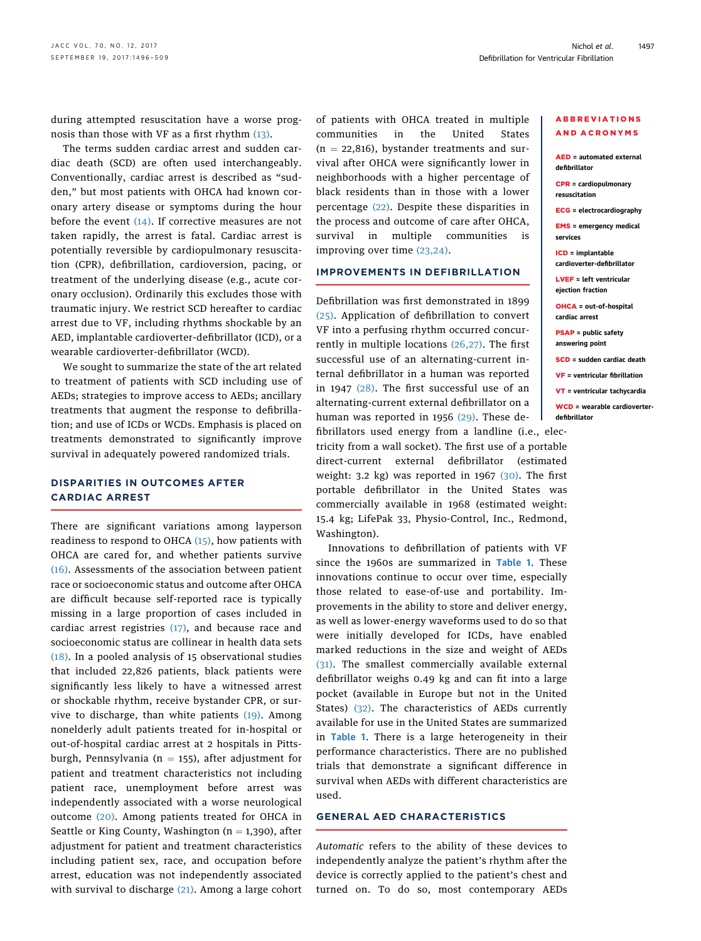during attempted resuscitation have a worse prognosis than those with VF as a first rhythm [\(13\).](#page-10-0)

The terms sudden cardiac arrest and sudden cardiac death (SCD) are often used interchangeably. Conventionally, cardiac arrest is described as "sudden," but most patients with OHCA had known coronary artery disease or symptoms during the hour before the event  $(14)$ . If corrective measures are not taken rapidly, the arrest is fatal. Cardiac arrest is potentially reversible by cardiopulmonary resuscitation (CPR), defibrillation, cardioversion, pacing, or treatment of the underlying disease (e.g., acute coronary occlusion). Ordinarily this excludes those with traumatic injury. We restrict SCD hereafter to cardiac arrest due to VF, including rhythms shockable by an AED, implantable cardioverter-defibrillator (ICD), or a wearable cardioverter-defibrillator (WCD).

We sought to summarize the state of the art related to treatment of patients with SCD including use of AEDs; strategies to improve access to AEDs; ancillary treatments that augment the response to defibrillation; and use of ICDs or WCDs. Emphasis is placed on treatments demonstrated to significantly improve survival in adequately powered randomized trials.

## DISPARITIES IN OUTCOMES AFTER CARDIAC ARREST

There are significant variations among layperson readiness to respond to OHCA [\(15\),](#page-10-0) how patients with OHCA are cared for, and whether patients survive [\(16\).](#page-10-0) Assessments of the association between patient race or socioeconomic status and outcome after OHCA are difficult because self-reported race is typically missing in a large proportion of cases included in cardiac arrest registries  $(17)$ , and because race and socioeconomic status are collinear in health data sets [\(18\)](#page-10-0). In a pooled analysis of 15 observational studies that included 22,826 patients, black patients were significantly less likely to have a witnessed arrest or shockable rhythm, receive bystander CPR, or survive to discharge, than white patients  $(19)$ . Among nonelderly adult patients treated for in-hospital or out-of-hospital cardiac arrest at 2 hospitals in Pittsburgh, Pennsylvania ( $n = 155$ ), after adjustment for patient and treatment characteristics not including patient race, unemployment before arrest was independently associated with a worse neurological outcome [\(20\)](#page-10-0). Among patients treated for OHCA in Seattle or King County, Washington ( $n = 1,390$ ), after adjustment for patient and treatment characteristics including patient sex, race, and occupation before arrest, education was not independently associated with survival to discharge [\(21\)](#page-10-0). Among a large cohort of patients with OHCA treated in multiple communities in the United States  $(n = 22,816)$ , bystander treatments and survival after OHCA were significantly lower in neighborhoods with a higher percentage of black residents than in those with a lower percentage [\(22\).](#page-10-0) Despite these disparities in the process and outcome of care after OHCA, survival in multiple communities is improving over time [\(23,24\).](#page-10-0)

#### IMPROVEMENTS IN DEFIBRILLATION

Defibrillation was first demonstrated in 1899 [\(25\)](#page-10-0). Application of defibrillation to convert VF into a perfusing rhythm occurred concurrently in multiple locations [\(26,27\).](#page-10-0) The first successful use of an alternating-current internal defibrillator in a human was reported in 1947 [\(28\)](#page-10-0). The first successful use of an alternating-current external defibrillator on a human was reported in 1956 [\(29\)](#page-10-0). These defibrillators used energy from a landline (i.e., elec-

tricity from a wall socket). The first use of a portal direct-current external defibrillator (estimated weight: 3.2 kg) was reported in 1967 [\(30\)](#page-10-0). The first portable defibrillator in the United States was commercially available in 1968 (estimated weight: 15.4 kg; LifePak 33, Physio-Control, Inc., Redmond, Washington).

Innovations to defibrillation of patients with VF since the 1960s are summarized in [Table 1](#page-2-0). These innovations continue to occur over time, especially those related to ease-of-use and portability. Improvements in the ability to store and deliver energy, as well as lower-energy waveforms used to do so that were initially developed for ICDs, have enabled marked reductions in the size and weight of AEDs [\(31\).](#page-10-0) The smallest commercially available external defibrillator weighs 0.49 kg and can fit into a large pocket (available in Europe but not in the United States) [\(32\)](#page-10-0). The characteristics of AEDs currently available for use in the United States are summarized in **[Table 1](#page-2-0).** There is a large heterogeneity in their performance characteristics. There are no published trials that demonstrate a significant difference in survival when AEDs with different characteristics are used.

#### GENERAL AED CHARACTERISTICS

Automatic refers to the ability of these devices to independently analyze the patient's rhythm after the device is correctly applied to the patient's chest and turned on. To do so, most contemporary AEDs

#### ABBREVIATIONS AND ACRONYMS

| <b>AED</b> = automated external<br>defibrillator       |
|--------------------------------------------------------|
| $CPR = cardinal$<br>resuscitation                      |
| <b>ECG</b> = electrocardiography                       |
| <b>EMS</b> = emergency medical<br>services             |
| <b>ICD</b> = implantable<br>cardioverter-defibrillator |
| $LVEF = left$ ventricular<br>ejection fraction         |
| <b>OHCA</b> = out-of-hospital<br>cardiac arrest        |
| <b>PSAP</b> = public safety<br>answering point         |
| <b>SCD</b> = sudden cardiac death                      |
| $VF = ventricular$ fibrillation                        |
| $VT = ventricular tachycardia$                         |
| <b>WCD</b> = wearable cardioverter-<br>defibrillator   |
| ec-                                                    |
| ble                                                    |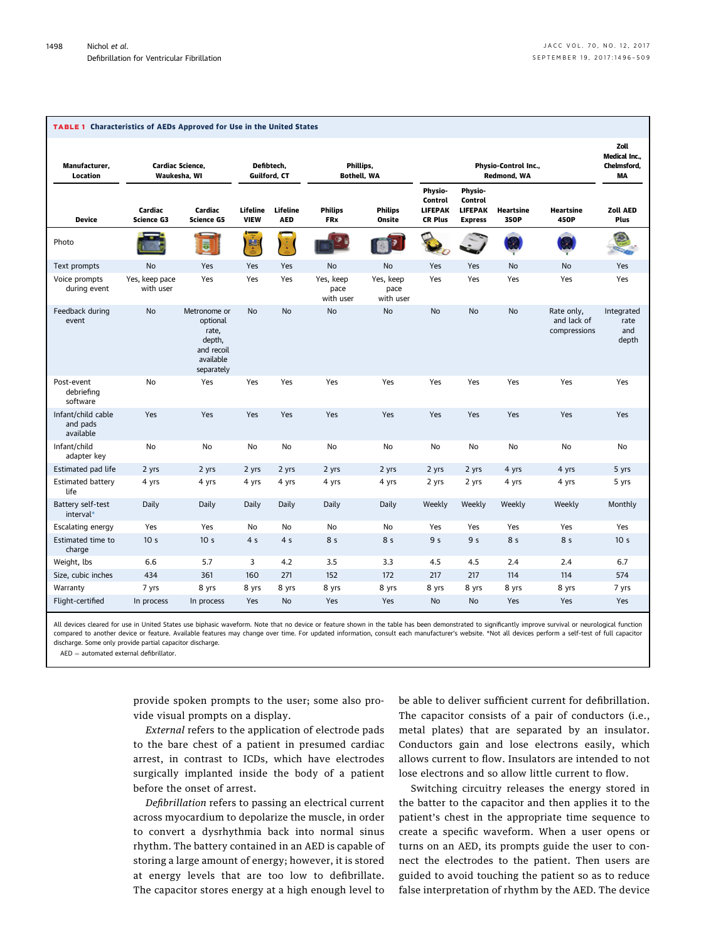<span id="page-2-0"></span>

| <b>TABLE 1 Characteristics of AEDs Approved for Use in the United States</b> |                                  |                                                                                      |                            |                        |                                |                                |                                                               |                                                               |                   |                                           |                                                 |
|------------------------------------------------------------------------------|----------------------------------|--------------------------------------------------------------------------------------|----------------------------|------------------------|--------------------------------|--------------------------------|---------------------------------------------------------------|---------------------------------------------------------------|-------------------|-------------------------------------------|-------------------------------------------------|
| Manufacturer,<br>Location                                                    | Cardiac Science.<br>Waukesha, WI |                                                                                      | Defibtech.<br>Guilford, CT |                        | Phillips,<br>Bothell, WA       |                                | Physio-Control Inc.,<br>Redmond, WA                           |                                                               |                   |                                           | Zoll<br><b>Medical Inc</b><br>Chelmsford.<br>MA |
| <b>Device</b>                                                                | Cardiac<br><b>Science G3</b>     | Cardiac<br><b>Science G5</b>                                                         | Lifeline<br><b>VIEW</b>    | Lifeline<br><b>AED</b> | <b>Philips</b><br><b>FRx</b>   | <b>Philips</b><br>Onsite       | Physio-<br><b>Control</b><br><b>LIFEPAK</b><br><b>CR Plus</b> | Physio-<br><b>Control</b><br><b>LIFEPAK</b><br><b>Express</b> | Heartsine<br>350P | <b>Heartsine</b><br>450P                  | <b>Zoll AED</b><br>Plus                         |
| Photo                                                                        |                                  | B                                                                                    | 摩                          |                        |                                |                                |                                                               |                                                               |                   |                                           |                                                 |
| Text prompts                                                                 | No                               | Yes                                                                                  | Yes                        | Yes                    | No                             | No                             | Yes                                                           | Yes                                                           | No                | No                                        | Yes                                             |
| Voice prompts<br>during event                                                | Yes, keep pace<br>with user      | Yes                                                                                  | Yes                        | Yes                    | Yes, keep<br>pace<br>with user | Yes, keep<br>pace<br>with user | Yes                                                           | Yes                                                           | Yes               | Yes                                       | Yes                                             |
| Feedback during<br>event                                                     | <b>No</b>                        | Metronome or<br>optional<br>rate,<br>depth,<br>and recoil<br>available<br>separately | <b>No</b>                  | <b>No</b>              | <b>No</b>                      | <b>No</b>                      | <b>No</b>                                                     | <b>No</b>                                                     | <b>No</b>         | Rate only,<br>and lack of<br>compressions | Integrated<br>rate<br>and<br>depth              |
| Post-event<br>debriefing<br>software                                         | No                               | Yes                                                                                  | Yes                        | Yes                    | Yes                            | Yes                            | Yes                                                           | Yes                                                           | Yes               | Yes                                       | Yes                                             |
| Infant/child cable<br>and pads<br>available                                  | Yes                              | Yes                                                                                  | Yes                        | Yes                    | Yes                            | Yes                            | Yes                                                           | Yes                                                           | Yes               | Yes                                       | Yes                                             |
| Infant/child<br>adapter key                                                  | No                               | No                                                                                   | No                         | No                     | No                             | No                             | No                                                            | No                                                            | No                | No                                        | No                                              |
| Estimated pad life                                                           | 2 yrs                            | 2 yrs                                                                                | 2 yrs                      | 2 yrs                  | 2 yrs                          | 2 yrs                          | 2 yrs                                                         | 2 yrs                                                         | 4 yrs             | 4 yrs                                     | 5 yrs                                           |
| <b>Estimated battery</b><br>life                                             | 4 yrs                            | 4 yrs                                                                                | 4 yrs                      | 4 yrs                  | 4 yrs                          | 4 yrs                          | 2 yrs                                                         | 2 yrs                                                         | 4 yrs             | 4 yrs                                     | 5 yrs                                           |
| Battery self-test<br>interval*                                               | Daily                            | Daily                                                                                | Daily                      | Daily                  | Daily                          | Daily                          | Weekly                                                        | Weekly                                                        | Weekly            | Weekly                                    | Monthly                                         |
| Escalating energy                                                            | Yes                              | Yes                                                                                  | No                         | No                     | <b>No</b>                      | No                             | Yes                                                           | Yes                                                           | Yes               | Yes                                       | Yes                                             |
| Estimated time to<br>charge                                                  | 10 <sub>s</sub>                  | 10 <sub>s</sub>                                                                      | 4 <sub>5</sub>             | 4 <sub>5</sub>         | 8 <sub>5</sub>                 | 8 s                            | 9 s                                                           | 9 <sub>5</sub>                                                | 8 <sub>5</sub>    | 8 <sub>5</sub>                            | 10 <sub>s</sub>                                 |
| Weight, lbs                                                                  | 6.6                              | 5.7                                                                                  | 3                          | 4.2                    | 3.5                            | 3.3                            | 4.5                                                           | 4.5                                                           | 2.4               | 2.4                                       | 6.7                                             |
| Size, cubic inches                                                           | 434                              | 361                                                                                  | 160                        | 271                    | 152                            | 172                            | 217                                                           | 217                                                           | 114               | 114                                       | 574                                             |
| Warranty                                                                     | 7 yrs                            | 8 yrs                                                                                | 8 yrs                      | 8 yrs                  | 8 yrs                          | 8 yrs                          | 8 yrs                                                         | 8 yrs                                                         | 8 yrs             | 8 yrs                                     | 7 yrs                                           |
| Flight-certified                                                             | In process                       | In process                                                                           | Yes                        | <b>No</b>              | Yes                            | Yes                            | <b>No</b>                                                     | <b>No</b>                                                     | Yes               | Yes                                       | Yes                                             |

All devices cleared for use in United States use biphasic waveform. Note that no device or feature shown in the table has been demonstrated to significantly improve survival or neurological function compared to another device or feature. Available features may change over time. For updated information, consult each manufacturer's website. \*Not all devices perform a self-test of full capacitor discharge. Some only provide partial capacitor discharge.

 $AED =$  automated external defibrillator.

provide spoken prompts to the user; some also provide visual prompts on a display.

External refers to the application of electrode pads to the bare chest of a patient in presumed cardiac arrest, in contrast to ICDs, which have electrodes surgically implanted inside the body of a patient before the onset of arrest.

Defibrillation refers to passing an electrical current across myocardium to depolarize the muscle, in order to convert a dysrhythmia back into normal sinus rhythm. The battery contained in an AED is capable of storing a large amount of energy; however, it is stored at energy levels that are too low to defibrillate. The capacitor stores energy at a high enough level to be able to deliver sufficient current for defibrillation. The capacitor consists of a pair of conductors (i.e., metal plates) that are separated by an insulator. Conductors gain and lose electrons easily, which allows current to flow. Insulators are intended to not lose electrons and so allow little current to flow.

Switching circuitry releases the energy stored in the batter to the capacitor and then applies it to the patient's chest in the appropriate time sequence to create a specific waveform. When a user opens or turns on an AED, its prompts guide the user to connect the electrodes to the patient. Then users are guided to avoid touching the patient so as to reduce false interpretation of rhythm by the AED. The device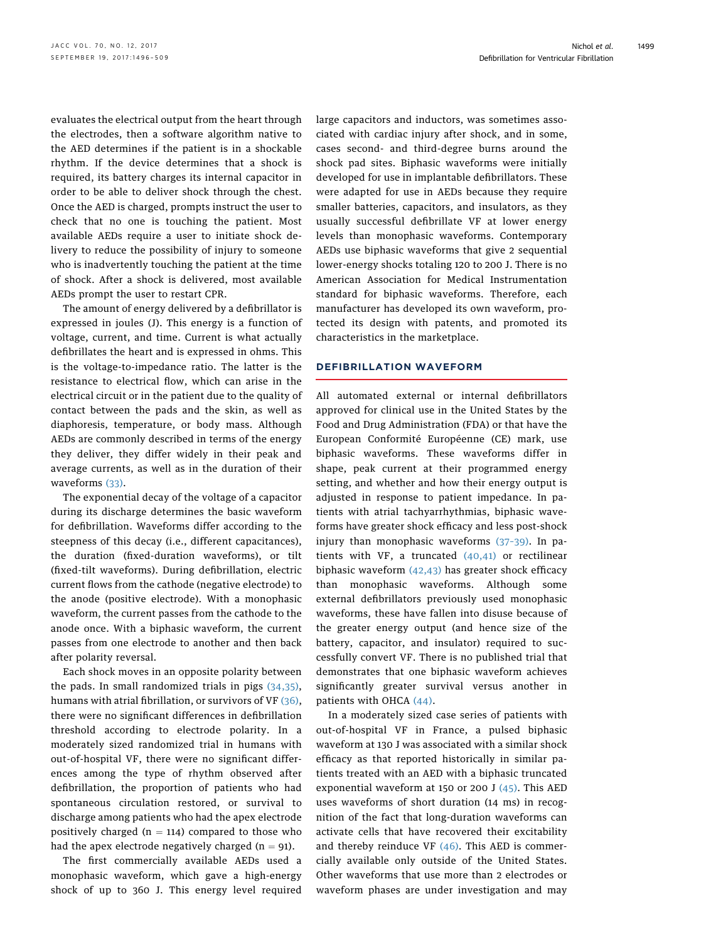evaluates the electrical output from the heart through the electrodes, then a software algorithm native to the AED determines if the patient is in a shockable rhythm. If the device determines that a shock is required, its battery charges its internal capacitor in order to be able to deliver shock through the chest. Once the AED is charged, prompts instruct the user to check that no one is touching the patient. Most available AEDs require a user to initiate shock delivery to reduce the possibility of injury to someone who is inadvertently touching the patient at the time of shock. After a shock is delivered, most available AEDs prompt the user to restart CPR.

The amount of energy delivered by a defibrillator is expressed in joules (J). This energy is a function of voltage, current, and time. Current is what actually defibrillates the heart and is expressed in ohms. This is the voltage-to-impedance ratio. The latter is the resistance to electrical flow, which can arise in the electrical circuit or in the patient due to the quality of contact between the pads and the skin, as well as diaphoresis, temperature, or body mass. Although AEDs are commonly described in terms of the energy they deliver, they differ widely in their peak and average currents, as well as in the duration of their waveforms [\(33\)](#page-10-0).

The exponential decay of the voltage of a capacitor during its discharge determines the basic waveform for defibrillation. Waveforms differ according to the steepness of this decay (i.e., different capacitances), the duration (fixed-duration waveforms), or tilt (fixed-tilt waveforms). During defibrillation, electric current flows from the cathode (negative electrode) to the anode (positive electrode). With a monophasic waveform, the current passes from the cathode to the anode once. With a biphasic waveform, the current passes from one electrode to another and then back after polarity reversal.

Each shock moves in an opposite polarity between the pads. In small randomized trials in pigs [\(34,35\),](#page-10-0) humans with atrial fibrillation, or survivors of VF [\(36\),](#page-10-0) there were no significant differences in defibrillation threshold according to electrode polarity. In a moderately sized randomized trial in humans with out-of-hospital VF, there were no significant differences among the type of rhythm observed after defibrillation, the proportion of patients who had spontaneous circulation restored, or survival to discharge among patients who had the apex electrode positively charged  $(n = 114)$  compared to those who had the apex electrode negatively charged  $(n = 91)$ .

The first commercially available AEDs used a monophasic waveform, which gave a high-energy shock of up to 360 J. This energy level required large capacitors and inductors, was sometimes associated with cardiac injury after shock, and in some, cases second- and third-degree burns around the shock pad sites. Biphasic waveforms were initially developed for use in implantable defibrillators. These were adapted for use in AEDs because they require smaller batteries, capacitors, and insulators, as they usually successful defibrillate VF at lower energy levels than monophasic waveforms. Contemporary AEDs use biphasic waveforms that give 2 sequential lower-energy shocks totaling 120 to 200 J. There is no American Association for Medical Instrumentation standard for biphasic waveforms. Therefore, each manufacturer has developed its own waveform, protected its design with patents, and promoted its characteristics in the marketplace.

#### DEFIBRILLATION WAVEFORM

All automated external or internal defibrillators approved for clinical use in the United States by the Food and Drug Administration (FDA) or that have the European Conformité Européenne (CE) mark, use biphasic waveforms. These waveforms differ in shape, peak current at their programmed energy setting, and whether and how their energy output is adjusted in response to patient impedance. In patients with atrial tachyarrhythmias, biphasic waveforms have greater shock efficacy and less post-shock injury than monophasic waveforms (37–[39\).](#page-10-0) In patients with VF, a truncated  $(40, 41)$  or rectilinear biphasic waveform [\(42,43\)](#page-10-0) has greater shock efficacy than monophasic waveforms. Although some external defibrillators previously used monophasic waveforms, these have fallen into disuse because of the greater energy output (and hence size of the battery, capacitor, and insulator) required to successfully convert VF. There is no published trial that demonstrates that one biphasic waveform achieves significantly greater survival versus another in patients with OHCA [\(44\).](#page-10-0)

In a moderately sized case series of patients with out-of-hospital VF in France, a pulsed biphasic waveform at 130 J was associated with a similar shock efficacy as that reported historically in similar patients treated with an AED with a biphasic truncated exponential waveform at 150 or 200 J [\(45\)](#page-10-0). This AED uses waveforms of short duration (14 ms) in recognition of the fact that long-duration waveforms can activate cells that have recovered their excitability and thereby reinduce VF  $(46)$ . This AED is commercially available only outside of the United States. Other waveforms that use more than 2 electrodes or waveform phases are under investigation and may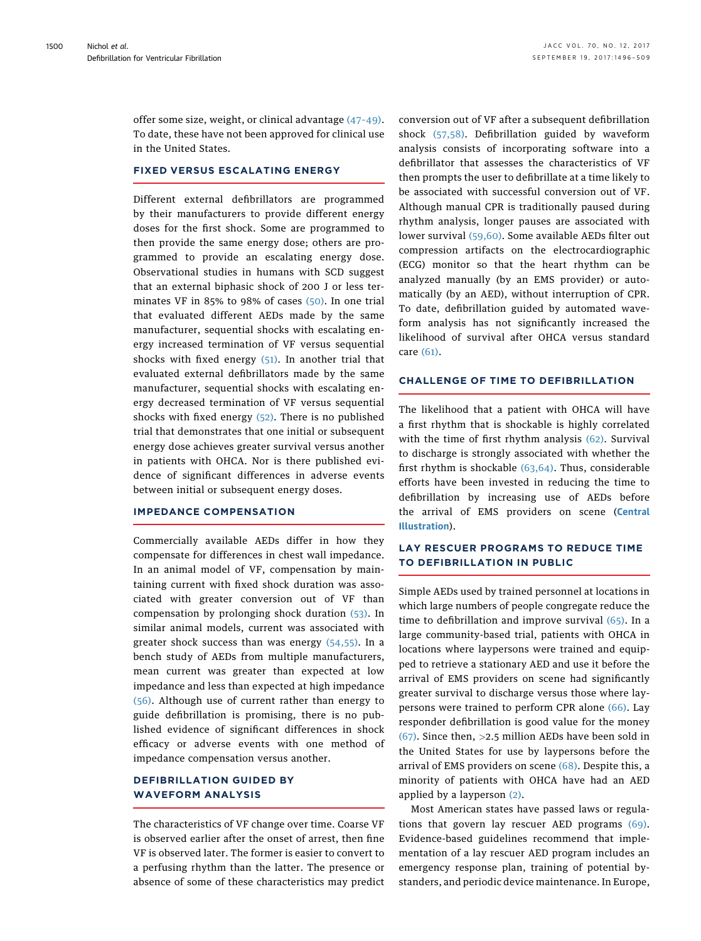offer some size, weight, or clinical advantage (47–[49\).](#page-10-0) To date, these have not been approved for clinical use in the United States.

#### FIXED VERSUS ESCALATING ENERGY

Different external defibrillators are programmed by their manufacturers to provide different energy doses for the first shock. Some are programmed to then provide the same energy dose; others are programmed to provide an escalating energy dose. Observational studies in humans with SCD suggest that an external biphasic shock of 200 J or less terminates VF in 85% to 98% of cases [\(50\).](#page-11-0) In one trial that evaluated different AEDs made by the same manufacturer, sequential shocks with escalating energy increased termination of VF versus sequential shocks with fixed energy  $(51)$ . In another trial that evaluated external defibrillators made by the same manufacturer, sequential shocks with escalating energy decreased termination of VF versus sequential shocks with fixed energy [\(52\)](#page-11-0). There is no published trial that demonstrates that one initial or subsequent energy dose achieves greater survival versus another in patients with OHCA. Nor is there published evidence of significant differences in adverse events between initial or subsequent energy doses.

#### IMPEDANCE COMPENSATION

Commercially available AEDs differ in how they compensate for differences in chest wall impedance. In an animal model of VF, compensation by maintaining current with fixed shock duration was associated with greater conversion out of VF than compensation by prolonging shock duration [\(53\)](#page-11-0). In similar animal models, current was associated with greater shock success than was energy [\(54,55\)](#page-11-0). In a bench study of AEDs from multiple manufacturers, mean current was greater than expected at low impedance and less than expected at high impedance [\(56\)](#page-11-0). Although use of current rather than energy to guide defibrillation is promising, there is no published evidence of significant differences in shock efficacy or adverse events with one method of impedance compensation versus another.

## DEFIBRILLATION GUIDED BY WAVEFORM ANALYSIS

The characteristics of VF change over time. Coarse VF is observed earlier after the onset of arrest, then fine VF is observed later. The former is easier to convert to a perfusing rhythm than the latter. The presence or absence of some of these characteristics may predict conversion out of VF after a subsequent defibrillation shock [\(57,58\)](#page-11-0). Defibrillation guided by waveform analysis consists of incorporating software into a defibrillator that assesses the characteristics of VF then prompts the user to defibrillate at a time likely to be associated with successful conversion out of VF. Although manual CPR is traditionally paused during rhythm analysis, longer pauses are associated with lower survival [\(59,60\).](#page-11-0) Some available AEDs filter out compression artifacts on the electrocardiographic (ECG) monitor so that the heart rhythm can be analyzed manually (by an EMS provider) or automatically (by an AED), without interruption of CPR. To date, defibrillation guided by automated waveform analysis has not significantly increased the likelihood of survival after OHCA versus standard care [\(61\).](#page-11-0)

## CHALLENGE OF TIME TO DEFIBRILLATION

The likelihood that a patient with OHCA will have a first rhythm that is shockable is highly correlated with the time of first rhythm analysis [\(62\).](#page-11-0) Survival to discharge is strongly associated with whether the first rhythm is shockable [\(63,64\)](#page-11-0). Thus, considerable efforts have been invested in reducing the time to defibrillation by increasing use of AEDs before the arrival of EMS providers on scene ([Central](#page-5-0) [Illustration](#page-5-0)).

## LAY RESCUER PROGRAMS TO REDUCE TIME TO DEFIBRILLATION IN PUBLIC

Simple AEDs used by trained personnel at locations in which large numbers of people congregate reduce the time to defibrillation and improve survival [\(65\).](#page-11-0) In a large community-based trial, patients with OHCA in locations where laypersons were trained and equipped to retrieve a stationary AED and use it before the arrival of EMS providers on scene had significantly greater survival to discharge versus those where laypersons were trained to perform CPR alone [\(66\)](#page-11-0). Lay responder defibrillation is good value for the money  $(67)$ . Since then, >2.5 million AEDs have been sold in the United States for use by laypersons before the arrival of EMS providers on scene [\(68\).](#page-11-0) Despite this, a minority of patients with OHCA have had an AED applied by a layperson [\(2\).](#page-10-0)

Most American states have passed laws or regulations that govern lay rescuer AED programs [\(69\).](#page-11-0) Evidence-based guidelines recommend that implementation of a lay rescuer AED program includes an emergency response plan, training of potential bystanders, and periodic device maintenance. In Europe,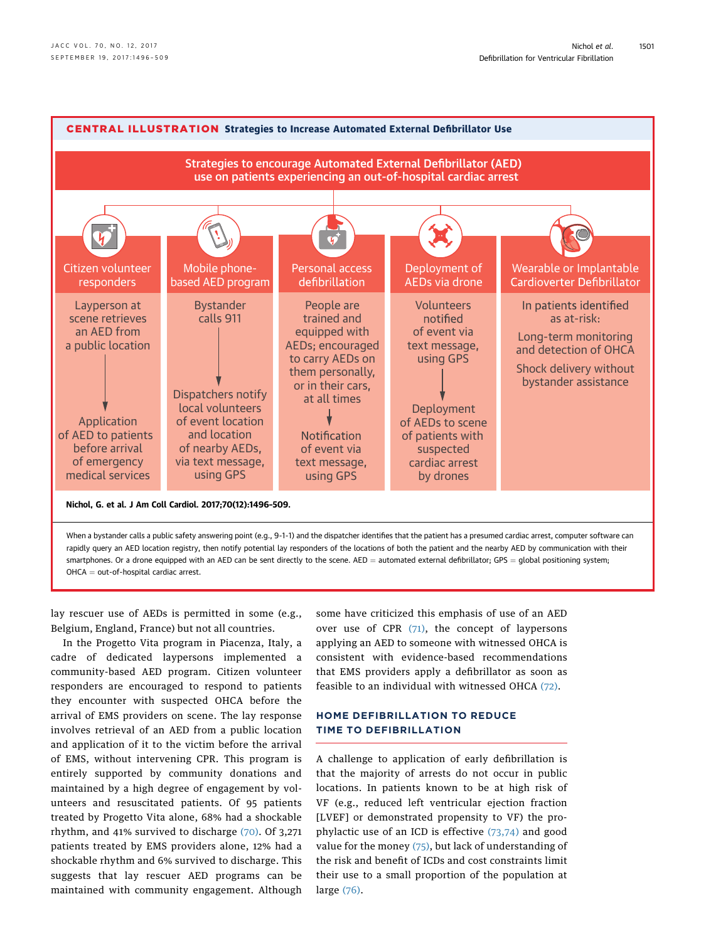<span id="page-5-0"></span>

rapidly query an AED location registry, then notify potential lay responders of the locations of both the patient and the nearby AED by communication with their smartphones. Or a drone equipped with an AED can be sent directly to the scene. AED = automated external defibrillator; GPS = global positioning system;  $OHCA = out-of-hospital$  cardiac arrest.

lay rescuer use of AEDs is permitted in some (e.g., Belgium, England, France) but not all countries.

In the Progetto Vita program in Piacenza, Italy, a cadre of dedicated laypersons implemented a community-based AED program. Citizen volunteer responders are encouraged to respond to patients they encounter with suspected OHCA before the arrival of EMS providers on scene. The lay response involves retrieval of an AED from a public location and application of it to the victim before the arrival of EMS, without intervening CPR. This program is entirely supported by community donations and maintained by a high degree of engagement by volunteers and resuscitated patients. Of 95 patients treated by Progetto Vita alone, 68% had a shockable rhythm, and 41% survived to discharge  $(70)$ . Of 3,271 patients treated by EMS providers alone, 12% had a shockable rhythm and 6% survived to discharge. This suggests that lay rescuer AED programs can be maintained with community engagement. Although some have criticized this emphasis of use of an AED over use of CPR [\(71\),](#page-11-0) the concept of laypersons applying an AED to someone with witnessed OHCA is consistent with evidence-based recommendations that EMS providers apply a defibrillator as soon as feasible to an individual with witnessed OHCA [\(72\).](#page-11-0)

## HOME DEFIBRILLATION TO REDUCE TIME TO DEFIBRILLATION

A challenge to application of early defibrillation is that the majority of arrests do not occur in public locations. In patients known to be at high risk of VF (e.g., reduced left ventricular ejection fraction [LVEF] or demonstrated propensity to VF) the prophylactic use of an ICD is effective [\(73,74\)](#page-11-0) and good value for the money  $(75)$ , but lack of understanding of the risk and benefit of ICDs and cost constraints limit their use to a small proportion of the population at large [\(76\)](#page-11-0).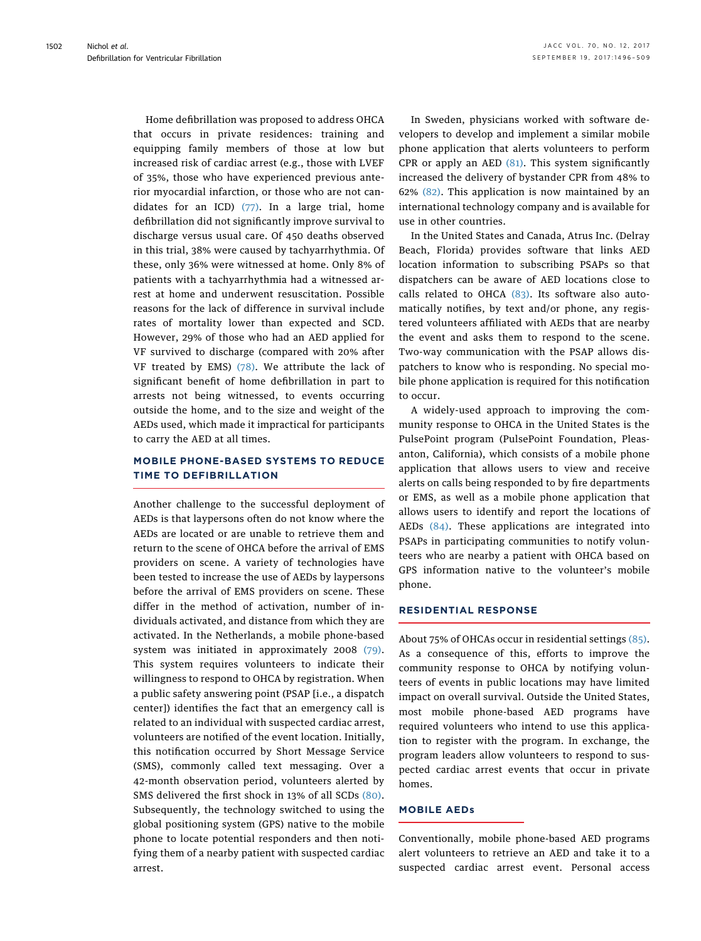Home defibrillation was proposed to address OHCA that occurs in private residences: training and equipping family members of those at low but increased risk of cardiac arrest (e.g., those with LVEF of 35%, those who have experienced previous anterior myocardial infarction, or those who are not candidates for an ICD) [\(77\).](#page-11-0) In a large trial, home defibrillation did not significantly improve survival to discharge versus usual care. Of 450 deaths observed in this trial, 38% were caused by tachyarrhythmia. Of these, only 36% were witnessed at home. Only 8% of patients with a tachyarrhythmia had a witnessed arrest at home and underwent resuscitation. Possible reasons for the lack of difference in survival include rates of mortality lower than expected and SCD. However, 29% of those who had an AED applied for VF survived to discharge (compared with 20% after VF treated by EMS) [\(78\).](#page-11-0) We attribute the lack of significant benefit of home defibrillation in part to arrests not being witnessed, to events occurring outside the home, and to the size and weight of the AEDs used, which made it impractical for participants to carry the AED at all times.

## MOBILE PHONE-BASED SYSTEMS TO REDUCE TIME TO DEFIBRILLATION

Another challenge to the successful deployment of AEDs is that laypersons often do not know where the AEDs are located or are unable to retrieve them and return to the scene of OHCA before the arrival of EMS providers on scene. A variety of technologies have been tested to increase the use of AEDs by laypersons before the arrival of EMS providers on scene. These differ in the method of activation, number of individuals activated, and distance from which they are activated. In the Netherlands, a mobile phone-based system was initiated in approximately 2008 [\(79\).](#page-11-0) This system requires volunteers to indicate their willingness to respond to OHCA by registration. When a public safety answering point (PSAP [i.e., a dispatch center]) identifies the fact that an emergency call is related to an individual with suspected cardiac arrest, volunteers are notified of the event location. Initially, this notification occurred by Short Message Service (SMS), commonly called text messaging. Over a 42-month observation period, volunteers alerted by SMS delivered the first shock in 13% of all SCDs [\(80\).](#page-11-0) Subsequently, the technology switched to using the global positioning system (GPS) native to the mobile phone to locate potential responders and then notifying them of a nearby patient with suspected cardiac arrest.

In Sweden, physicians worked with software developers to develop and implement a similar mobile phone application that alerts volunteers to perform CPR or apply an AED  $(81)$ . This system significantly increased the delivery of bystander CPR from 48% to 62% [\(82\)](#page-11-0). This application is now maintained by an international technology company and is available for use in other countries.

In the United States and Canada, Atrus Inc. (Delray Beach, Florida) provides software that links AED location information to subscribing PSAPs so that dispatchers can be aware of AED locations close to calls related to OHCA [\(83\).](#page-11-0) Its software also automatically notifies, by text and/or phone, any registered volunteers affiliated with AEDs that are nearby the event and asks them to respond to the scene. Two-way communication with the PSAP allows dispatchers to know who is responding. No special mobile phone application is required for this notification to occur.

A widely-used approach to improving the community response to OHCA in the United States is the PulsePoint program (PulsePoint Foundation, Pleasanton, California), which consists of a mobile phone application that allows users to view and receive alerts on calls being responded to by fire departments or EMS, as well as a mobile phone application that allows users to identify and report the locations of AEDs [\(84\).](#page-11-0) These applications are integrated into PSAPs in participating communities to notify volunteers who are nearby a patient with OHCA based on GPS information native to the volunteer's mobile phone.

#### RESIDENTIAL RESPONSE

About 75% of OHCAs occur in residential settings [\(85\).](#page-11-0) As a consequence of this, efforts to improve the community response to OHCA by notifying volunteers of events in public locations may have limited impact on overall survival. Outside the United States, most mobile phone-based AED programs have required volunteers who intend to use this application to register with the program. In exchange, the program leaders allow volunteers to respond to suspected cardiac arrest events that occur in private homes.

#### MOBILE AEDs

Conventionally, mobile phone-based AED programs alert volunteers to retrieve an AED and take it to a suspected cardiac arrest event. Personal access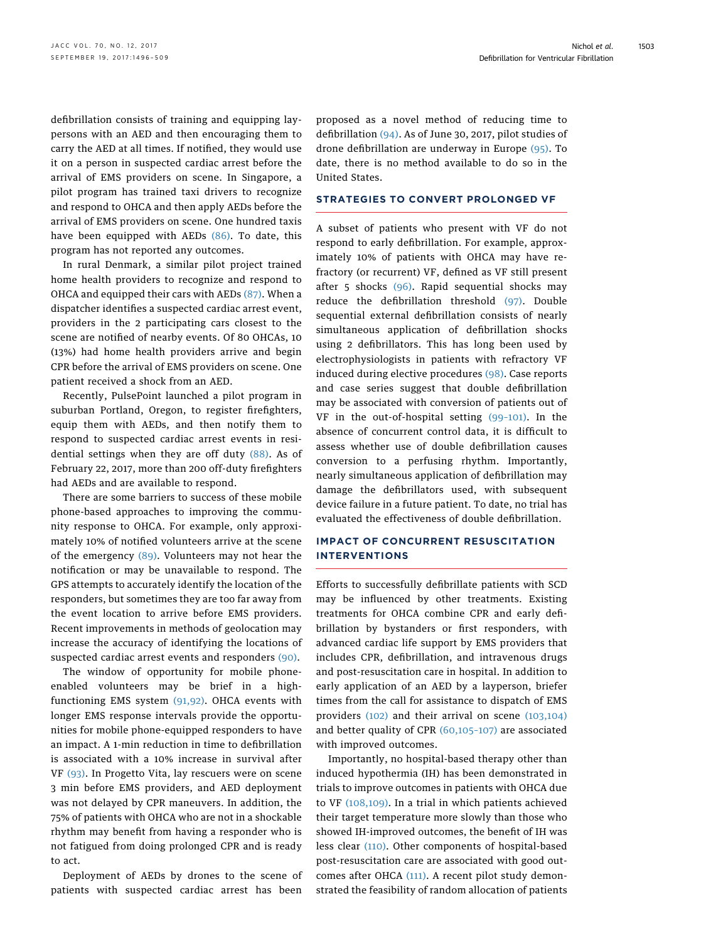defibrillation consists of training and equipping laypersons with an AED and then encouraging them to carry the AED at all times. If notified, they would use it on a person in suspected cardiac arrest before the arrival of EMS providers on scene. In Singapore, a pilot program has trained taxi drivers to recognize and respond to OHCA and then apply AEDs before the arrival of EMS providers on scene. One hundred taxis have been equipped with AEDs [\(86\)](#page-11-0). To date, this program has not reported any outcomes.

In rural Denmark, a similar pilot project trained home health providers to recognize and respond to OHCA and equipped their cars with AEDs [\(87\)](#page-11-0). When a dispatcher identifies a suspected cardiac arrest event, providers in the 2 participating cars closest to the scene are notified of nearby events. Of 80 OHCAs, 10 (13%) had home health providers arrive and begin CPR before the arrival of EMS providers on scene. One patient received a shock from an AED.

Recently, PulsePoint launched a pilot program in suburban Portland, Oregon, to register firefighters, equip them with AEDs, and then notify them to respond to suspected cardiac arrest events in residential settings when they are off duty [\(88\).](#page-11-0) As of February 22, 2017, more than 200 off-duty firefighters had AEDs and are available to respond.

There are some barriers to success of these mobile phone-based approaches to improving the community response to OHCA. For example, only approximately 10% of notified volunteers arrive at the scene of the emergency  $(89)$ . Volunteers may not hear the notification or may be unavailable to respond. The GPS attempts to accurately identify the location of the responders, but sometimes they are too far away from the event location to arrive before EMS providers. Recent improvements in methods of geolocation may increase the accuracy of identifying the locations of suspected cardiac arrest events and responders [\(90\)](#page-12-0).

The window of opportunity for mobile phoneenabled volunteers may be brief in a highfunctioning EMS system [\(91,92\)](#page-12-0). OHCA events with longer EMS response intervals provide the opportunities for mobile phone-equipped responders to have an impact. A 1-min reduction in time to defibrillation is associated with a 10% increase in survival after VF [\(93\)](#page-12-0). In Progetto Vita, lay rescuers were on scene 3 min before EMS providers, and AED deployment was not delayed by CPR maneuvers. In addition, the 75% of patients with OHCA who are not in a shockable rhythm may benefit from having a responder who is not fatigued from doing prolonged CPR and is ready to act.

Deployment of AEDs by drones to the scene of patients with suspected cardiac arrest has been

proposed as a novel method of reducing time to defibrillation [\(94\).](#page-12-0) As of June 30, 2017, pilot studies of drone defibrillation are underway in Europe [\(95\)](#page-12-0). To date, there is no method available to do so in the United States.

#### STRATEGIES TO CONVERT PROLONGED VF

A subset of patients who present with VF do not respond to early defibrillation. For example, approximately 10% of patients with OHCA may have refractory (or recurrent) VF, defined as VF still present after 5 shocks [\(96\).](#page-12-0) Rapid sequential shocks may reduce the defibrillation threshold [\(97\)](#page-12-0). Double sequential external defibrillation consists of nearly simultaneous application of defibrillation shocks using 2 defibrillators. This has long been used by electrophysiologists in patients with refractory VF induced during elective procedures [\(98\)](#page-12-0). Case reports and case series suggest that double defibrillation may be associated with conversion of patients out of VF in the out-of-hospital setting (99–[101\).](#page-12-0) In the absence of concurrent control data, it is difficult to assess whether use of double defibrillation causes conversion to a perfusing rhythm. Importantly, nearly simultaneous application of defibrillation may damage the defibrillators used, with subsequent device failure in a future patient. To date, no trial has evaluated the effectiveness of double defibrillation.

## IMPACT OF CONCURRENT RESUSCITATION INTERVENTIONS

Efforts to successfully defibrillate patients with SCD may be influenced by other treatments. Existing treatments for OHCA combine CPR and early defibrillation by bystanders or first responders, with advanced cardiac life support by EMS providers that includes CPR, defibrillation, and intravenous drugs and post-resuscitation care in hospital. In addition to early application of an AED by a layperson, briefer times from the call for assistance to dispatch of EMS providers [\(102\)](#page-12-0) and their arrival on scene [\(103,104\)](#page-12-0) and better quality of CPR [\(60,105](#page-11-0)–107) are associated with improved outcomes.

Importantly, no hospital-based therapy other than induced hypothermia (IH) has been demonstrated in trials to improve outcomes in patients with OHCA due to VF [\(108,109\)](#page-12-0). In a trial in which patients achieved their target temperature more slowly than those who showed IH-improved outcomes, the benefit of IH was less clear [\(110\)](#page-12-0). Other components of hospital-based post-resuscitation care are associated with good outcomes after OHCA [\(111\)](#page-12-0). A recent pilot study demonstrated the feasibility of random allocation of patients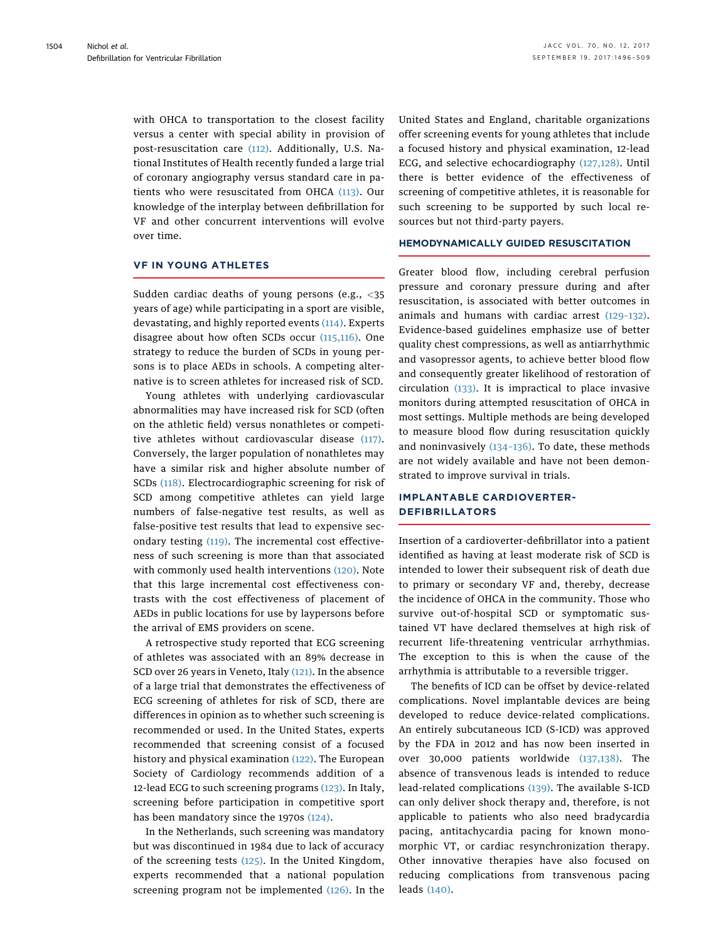with OHCA to transportation to the closest facility versus a center with special ability in provision of post-resuscitation care [\(112\)](#page-12-0). Additionally, U.S. National Institutes of Health recently funded a large trial of coronary angiography versus standard care in patients who were resuscitated from OHCA [\(113\).](#page-12-0) Our knowledge of the interplay between defibrillation for VF and other concurrent interventions will evolve over time.

## VF IN YOUNG ATHLETES

Sudden cardiac deaths of young persons (e.g.,  $\langle 35 \rangle$ years of age) while participating in a sport are visible, devastating, and highly reported events [\(114\)](#page-12-0). Experts disagree about how often SCDs occur [\(115,116\).](#page-12-0) One strategy to reduce the burden of SCDs in young persons is to place AEDs in schools. A competing alternative is to screen athletes for increased risk of SCD.

Young athletes with underlying cardiovascular abnormalities may have increased risk for SCD (often on the athletic field) versus nonathletes or competitive athletes without cardiovascular disease [\(117\).](#page-12-0) Conversely, the larger population of nonathletes may have a similar risk and higher absolute number of SCDs [\(118\).](#page-12-0) Electrocardiographic screening for risk of SCD among competitive athletes can yield large numbers of false-negative test results, as well as false-positive test results that lead to expensive secondary testing [\(119\)](#page-12-0). The incremental cost effectiveness of such screening is more than that associated with commonly used health interventions [\(120\).](#page-12-0) Note that this large incremental cost effectiveness contrasts with the cost effectiveness of placement of AEDs in public locations for use by laypersons before the arrival of EMS providers on scene.

A retrospective study reported that ECG screening of athletes was associated with an 89% decrease in SCD over 26 years in Veneto, Italy [\(121\).](#page-12-0) In the absence of a large trial that demonstrates the effectiveness of ECG screening of athletes for risk of SCD, there are differences in opinion as to whether such screening is recommended or used. In the United States, experts recommended that screening consist of a focused history and physical examination [\(122\).](#page-12-0) The European Society of Cardiology recommends addition of a 12-lead ECG to such screening programs [\(123\).](#page-12-0) In Italy, screening before participation in competitive sport has been mandatory since the 1970s [\(124\)](#page-12-0).

In the Netherlands, such screening was mandatory but was discontinued in 1984 due to lack of accuracy of the screening tests [\(125\)](#page-12-0). In the United Kingdom, experts recommended that a national population screening program not be implemented [\(126\).](#page-12-0) In the United States and England, charitable organizations offer screening events for young athletes that include a focused history and physical examination, 12-lead ECG, and selective echocardiography [\(127,128\)](#page-12-0). Until there is better evidence of the effectiveness of screening of competitive athletes, it is reasonable for such screening to be supported by such local resources but not third-party payers.

#### HEMODYNAMICALLY GUIDED RESUSCITATION

Greater blood flow, including cerebral perfusion pressure and coronary pressure during and after resuscitation, is associated with better outcomes in animals and humans with cardiac arrest (129–[132\).](#page-13-0) Evidence-based guidelines emphasize use of better quality chest compressions, as well as antiarrhythmic and vasopressor agents, to achieve better blood flow and consequently greater likelihood of restoration of circulation [\(133\)](#page-13-0). It is impractical to place invasive monitors during attempted resuscitation of OHCA in most settings. Multiple methods are being developed to measure blood flow during resuscitation quickly and noninvasively [\(134](#page-13-0)–136). To date, these methods are not widely available and have not been demonstrated to improve survival in trials.

## IMPLANTABLE CARDIOVERTER-DEFIBRILLATORS

Insertion of a cardioverter-defibrillator into a patient identified as having at least moderate risk of SCD is intended to lower their subsequent risk of death due to primary or secondary VF and, thereby, decrease the incidence of OHCA in the community. Those who survive out-of-hospital SCD or symptomatic sustained VT have declared themselves at high risk of recurrent life-threatening ventricular arrhythmias. The exception to this is when the cause of the arrhythmia is attributable to a reversible trigger.

The benefits of ICD can be offset by device-related complications. Novel implantable devices are being developed to reduce device-related complications. An entirely subcutaneous ICD (S-ICD) was approved by the FDA in 2012 and has now been inserted in over 30,000 patients worldwide [\(137,138\)](#page-13-0). The absence of transvenous leads is intended to reduce lead-related complications [\(139\).](#page-13-0) The available S-ICD can only deliver shock therapy and, therefore, is not applicable to patients who also need bradycardia pacing, antitachycardia pacing for known monomorphic VT, or cardiac resynchronization therapy. Other innovative therapies have also focused on reducing complications from transvenous pacing leads [\(140\).](#page-13-0)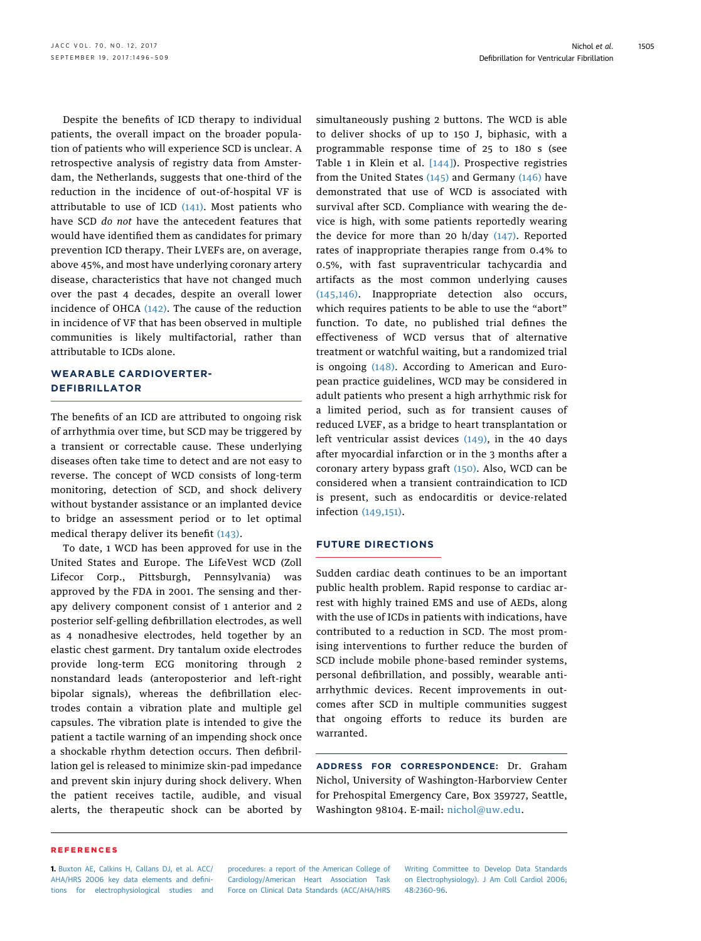<span id="page-9-0"></span>Despite the benefits of ICD therapy to individual patients, the overall impact on the broader population of patients who will experience SCD is unclear. A retrospective analysis of registry data from Amsterdam, the Netherlands, suggests that one-third of the reduction in the incidence of out-of-hospital VF is attributable to use of ICD  $(141)$ . Most patients who have SCD do not have the antecedent features that would have identified them as candidates for primary prevention ICD therapy. Their LVEFs are, on average, above 45%, and most have underlying coronary artery disease, characteristics that have not changed much over the past 4 decades, despite an overall lower incidence of OHCA [\(142\)](#page-13-0). The cause of the reduction in incidence of VF that has been observed in multiple communities is likely multifactorial, rather than attributable to ICDs alone.

## WEARABLE CARDIOVERTER-DEFIBRILLATOR

The benefits of an ICD are attributed to ongoing risk of arrhythmia over time, but SCD may be triggered by a transient or correctable cause. These underlying diseases often take time to detect and are not easy to reverse. The concept of WCD consists of long-term monitoring, detection of SCD, and shock delivery without bystander assistance or an implanted device to bridge an assessment period or to let optimal medical therapy deliver its benefit [\(143\)](#page-13-0).

To date, 1 WCD has been approved for use in the United States and Europe. The LifeVest WCD (Zoll Lifecor Corp., Pittsburgh, Pennsylvania) was approved by the FDA in 2001. The sensing and therapy delivery component consist of 1 anterior and 2 posterior self-gelling defibrillation electrodes, as well as 4 nonadhesive electrodes, held together by an elastic chest garment. Dry tantalum oxide electrodes provide long-term ECG monitoring through 2 nonstandard leads (anteroposterior and left-right bipolar signals), whereas the defibrillation electrodes contain a vibration plate and multiple gel capsules. The vibration plate is intended to give the patient a tactile warning of an impending shock once a shockable rhythm detection occurs. Then defibrillation gel is released to minimize skin-pad impedance and prevent skin injury during shock delivery. When the patient receives tactile, audible, and visual alerts, the therapeutic shock can be aborted by

simultaneously pushing 2 buttons. The WCD is able to deliver shocks of up to 150 J, biphasic, with a programmable response time of 25 to 180 s (see Table 1 in Klein et al. [\[144\]\)](#page-13-0). Prospective registries from the United States  $(145)$  and Germany  $(146)$  have demonstrated that use of WCD is associated with survival after SCD. Compliance with wearing the device is high, with some patients reportedly wearing the device for more than 20 h/day [\(147\)](#page-13-0). Reported rates of inappropriate therapies range from 0.4% to 0.5%, with fast supraventricular tachycardia and artifacts as the most common underlying causes [\(145,146\)](#page-13-0). Inappropriate detection also occurs, which requires patients to be able to use the "abort" function. To date, no published trial defines the effectiveness of WCD versus that of alternative treatment or watchful waiting, but a randomized trial is ongoing  $(148)$ . According to American and European practice guidelines, WCD may be considered in adult patients who present a high arrhythmic risk for a limited period, such as for transient causes of reduced LVEF, as a bridge to heart transplantation or left ventricular assist devices [\(149\)](#page-13-0), in the 40 days after myocardial infarction or in the 3 months after a coronary artery bypass graft [\(150\).](#page-13-0) Also, WCD can be considered when a transient contraindication to ICD is present, such as endocarditis or device-related infection [\(149,151\)](#page-13-0).

## FUTURE DIRECTIONS

Sudden cardiac death continues to be an important public health problem. Rapid response to cardiac arrest with highly trained EMS and use of AEDs, along with the use of ICDs in patients with indications, have contributed to a reduction in SCD. The most promising interventions to further reduce the burden of SCD include mobile phone-based reminder systems, personal defibrillation, and possibly, wearable antiarrhythmic devices. Recent improvements in outcomes after SCD in multiple communities suggest that ongoing efforts to reduce its burden are warranted.

ADDRESS FOR CORRESPONDENCE: Dr. Graham Nichol, University of Washington-Harborview Center for Prehospital Emergency Care, Box 359727, Seattle, Washington 98104. E-mail: [nichol@uw.edu](mailto:nichol@uw.edu).

#### REFERENCES

1. [Buxton AE, Calkins H, Callans DJ, et al. ACC/](http://refhub.elsevier.com/S0735-1097(17)39140-4/sref1) [AHA/HRS 2006 key data elements and de](http://refhub.elsevier.com/S0735-1097(17)39140-4/sref1)fini[tions for electrophysiological studies and](http://refhub.elsevier.com/S0735-1097(17)39140-4/sref1) [procedures: a report of the American College of](http://refhub.elsevier.com/S0735-1097(17)39140-4/sref1) [Cardiology/American Heart Association Task](http://refhub.elsevier.com/S0735-1097(17)39140-4/sref1) [Force on Clinical Data Standards \(ACC/AHA/HRS](http://refhub.elsevier.com/S0735-1097(17)39140-4/sref1)

[Writing Committee to Develop Data Standards](http://refhub.elsevier.com/S0735-1097(17)39140-4/sref1) [on Electrophysiology\). J Am Coll Cardiol 2006;](http://refhub.elsevier.com/S0735-1097(17)39140-4/sref1) [48:2360](http://refhub.elsevier.com/S0735-1097(17)39140-4/sref1)–96.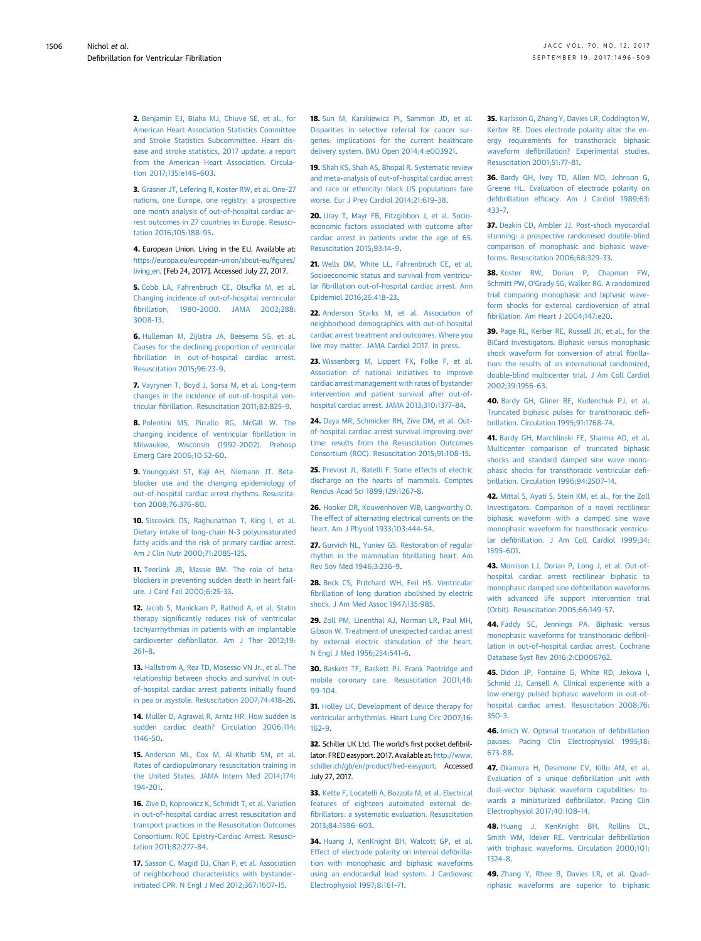<span id="page-10-0"></span>2. [Benjamin EJ, Blaha MJ, Chiuve SE, et al., for](http://refhub.elsevier.com/S0735-1097(17)39140-4/sref2) [American Heart Association Statistics Committee](http://refhub.elsevier.com/S0735-1097(17)39140-4/sref2) [and Stroke Statistics Subcommittee. Heart dis](http://refhub.elsevier.com/S0735-1097(17)39140-4/sref2)[ease and stroke statistics, 2017 update: a report](http://refhub.elsevier.com/S0735-1097(17)39140-4/sref2) [from the American Heart Association. Circula](http://refhub.elsevier.com/S0735-1097(17)39140-4/sref2)[tion 2017;135:e146](http://refhub.elsevier.com/S0735-1097(17)39140-4/sref2)–603.

3. [Grasner JT, Lefering R, Koster RW, et al. One-27](http://refhub.elsevier.com/S0735-1097(17)39140-4/sref3) [nations, one Europe, one registry: a prospective](http://refhub.elsevier.com/S0735-1097(17)39140-4/sref3) [one month analysis of out-of-hospital cardiac ar](http://refhub.elsevier.com/S0735-1097(17)39140-4/sref3)[rest outcomes in 27 countries in Europe. Resusci](http://refhub.elsevier.com/S0735-1097(17)39140-4/sref3)[tation 2016;105:188](http://refhub.elsevier.com/S0735-1097(17)39140-4/sref3)–95.

4. European Union. Living in the EU. Available at: [https://europa.eu/european-union/about-eu/](https://europa.eu/european-union/about-eu/figures/living_en)figures/ [living\\_en](https://europa.eu/european-union/about-eu/figures/living_en). [Feb 24, 2017]. Accessed July 27, 2017.

5. [Cobb LA, Fahrenbruch CE, Olsufka M, et al.](http://refhub.elsevier.com/S0735-1097(17)39140-4/sref5) [Changing incidence of out-of-hospital ventricular](http://refhub.elsevier.com/S0735-1097(17)39140-4/sref5) fibrillation, 1980–[2000. JAMA 2002;288:](http://refhub.elsevier.com/S0735-1097(17)39140-4/sref5) [3008](http://refhub.elsevier.com/S0735-1097(17)39140-4/sref5)–13.

6. [Hulleman M, Zijlstra JA, Beesems SG, et al.](http://refhub.elsevier.com/S0735-1097(17)39140-4/sref6) [Causes for the declining proportion of ventricular](http://refhub.elsevier.com/S0735-1097(17)39140-4/sref6) fi[brillation in out-of-hospital cardiac arrest.](http://refhub.elsevier.com/S0735-1097(17)39140-4/sref6) [Resuscitation 2015;96:23](http://refhub.elsevier.com/S0735-1097(17)39140-4/sref6)–9.

7. [Vayrynen T, Boyd J, Sorsa M, et al. Long-term](http://refhub.elsevier.com/S0735-1097(17)39140-4/sref7) [changes in the incidence of out-of-hospital ven](http://refhub.elsevier.com/S0735-1097(17)39140-4/sref7)tricular fi[brillation. Resuscitation 2011;82:825](http://refhub.elsevier.com/S0735-1097(17)39140-4/sref7)–9.

8. [Polentini MS, Pirrallo RG, McGill W. The](http://refhub.elsevier.com/S0735-1097(17)39140-4/sref8) [changing incidence of ventricular](http://refhub.elsevier.com/S0735-1097(17)39140-4/sref8) fibrillation in [Milwaukee, Wisconsin \(1992](http://refhub.elsevier.com/S0735-1097(17)39140-4/sref8)–2002). Prehosp [Emerg Care 2006;10:52](http://refhub.elsevier.com/S0735-1097(17)39140-4/sref8)–60.

9. [Youngquist ST, Kaji AH, Niemann JT. Beta](http://refhub.elsevier.com/S0735-1097(17)39140-4/sref9)[blocker use and the changing epidemiology of](http://refhub.elsevier.com/S0735-1097(17)39140-4/sref9) [out-of-hospital cardiac arrest rhythms. Resuscita](http://refhub.elsevier.com/S0735-1097(17)39140-4/sref9)[tion 2008;76:376](http://refhub.elsevier.com/S0735-1097(17)39140-4/sref9)–80.

10. [Siscovick DS, Raghunathan T, King I, et al.](http://refhub.elsevier.com/S0735-1097(17)39140-4/sref10) [Dietary intake of long-chain N-3 polyunsaturated](http://refhub.elsevier.com/S0735-1097(17)39140-4/sref10) [fatty acids and the risk of primary cardiac arrest.](http://refhub.elsevier.com/S0735-1097(17)39140-4/sref10) [Am J Clin Nutr 2000;71:208S](http://refhub.elsevier.com/S0735-1097(17)39140-4/sref10)–12S.

11. [Teerlink JR, Massie BM. The role of beta](http://refhub.elsevier.com/S0735-1097(17)39140-4/sref11)[blockers in preventing sudden death in heart fail](http://refhub.elsevier.com/S0735-1097(17)39140-4/sref11)[ure. J Card Fail 2000;6:25](http://refhub.elsevier.com/S0735-1097(17)39140-4/sref11)–33.

12. [Jacob S, Manickam P, Rathod A, et al. Statin](http://refhub.elsevier.com/S0735-1097(17)39140-4/sref12) therapy signifi[cantly reduces risk of ventricular](http://refhub.elsevier.com/S0735-1097(17)39140-4/sref12) [tachyarrhythmias in patients with an implantable](http://refhub.elsevier.com/S0735-1097(17)39140-4/sref12) cardioverter defi[brillator. Am J Ther 2012;19:](http://refhub.elsevier.com/S0735-1097(17)39140-4/sref12) [261](http://refhub.elsevier.com/S0735-1097(17)39140-4/sref12)–8.

13. [Hallstrom A, Rea TD, Mosesso VN Jr., et al. The](http://refhub.elsevier.com/S0735-1097(17)39140-4/sref13) [relationship between shocks and survival in out](http://refhub.elsevier.com/S0735-1097(17)39140-4/sref13)[of-hospital cardiac arrest patients initially found](http://refhub.elsevier.com/S0735-1097(17)39140-4/sref13) [in pea or asystole. Resuscitation 2007;74:418](http://refhub.elsevier.com/S0735-1097(17)39140-4/sref13)–26.

14. Muller D. Agrawal R. Arntz HR. How sudden is [sudden cardiac death? Circulation 2006;114:](http://refhub.elsevier.com/S0735-1097(17)39140-4/sref14) [1146](http://refhub.elsevier.com/S0735-1097(17)39140-4/sref14)–50.

15. [Anderson ML, Cox M, Al-Khatib SM, et al.](http://refhub.elsevier.com/S0735-1097(17)39140-4/sref15) [Rates of cardiopulmonary resuscitation training in](http://refhub.elsevier.com/S0735-1097(17)39140-4/sref15) [the United States. JAMA Intern Med 2014;174:](http://refhub.elsevier.com/S0735-1097(17)39140-4/sref15) 194–[201.](http://refhub.elsevier.com/S0735-1097(17)39140-4/sref15)

16. [Zive D, Koprowicz K, Schmidt T, et al. Variation](http://refhub.elsevier.com/S0735-1097(17)39140-4/sref16) [in out-of-hospital cardiac arrest resuscitation and](http://refhub.elsevier.com/S0735-1097(17)39140-4/sref16) [transport practices in the Resuscitation Outcomes](http://refhub.elsevier.com/S0735-1097(17)39140-4/sref16) [Consortium: ROC Epistry-Cardiac Arrest. Resusci](http://refhub.elsevier.com/S0735-1097(17)39140-4/sref16)[tation 2011;82:277](http://refhub.elsevier.com/S0735-1097(17)39140-4/sref16)–84.

17. [Sasson C, Magid DJ, Chan P, et al. Association](http://refhub.elsevier.com/S0735-1097(17)39140-4/sref17) [of neighborhood characteristics with bystander](http://refhub.elsevier.com/S0735-1097(17)39140-4/sref17)[initiated CPR. N Engl J Med 2012;367:1607](http://refhub.elsevier.com/S0735-1097(17)39140-4/sref17)–15.

18. [Sun M, Karakiewicz PI, Sammon JD, et al.](http://refhub.elsevier.com/S0735-1097(17)39140-4/sref18) [Disparities in selective referral for cancer sur](http://refhub.elsevier.com/S0735-1097(17)39140-4/sref18)[geries: implications for the current healthcare](http://refhub.elsevier.com/S0735-1097(17)39140-4/sref18) [delivery system. BMJ Open 2014;4:e003921](http://refhub.elsevier.com/S0735-1097(17)39140-4/sref18).

19. [Shah KS, Shah AS, Bhopal R. Systematic review](http://refhub.elsevier.com/S0735-1097(17)39140-4/sref19) [and meta-analysis of out-of-hospital cardiac arrest](http://refhub.elsevier.com/S0735-1097(17)39140-4/sref19) [and race or ethnicity: black US populations fare](http://refhub.elsevier.com/S0735-1097(17)39140-4/sref19) [worse. Eur J Prev Cardiol 2014;21:619](http://refhub.elsevier.com/S0735-1097(17)39140-4/sref19)–38.

20. [Uray T, Mayr FB, Fitzgibbon J, et al. Socio](http://refhub.elsevier.com/S0735-1097(17)39140-4/sref20)[economic factors associated with outcome after](http://refhub.elsevier.com/S0735-1097(17)39140-4/sref20) [cardiac arrest in patients under the age of 65.](http://refhub.elsevier.com/S0735-1097(17)39140-4/sref20) [Resuscitation 2015;93:14](http://refhub.elsevier.com/S0735-1097(17)39140-4/sref20)–9.

21. [Wells DM, White LL, Fahrenbruch CE, et al.](http://refhub.elsevier.com/S0735-1097(17)39140-4/sref21) [Socioeconomic status and survival from ventricu](http://refhub.elsevier.com/S0735-1097(17)39140-4/sref21)lar fi[brillation out-of-hospital cardiac arrest. Ann](http://refhub.elsevier.com/S0735-1097(17)39140-4/sref21) [Epidemiol 2016;26:418](http://refhub.elsevier.com/S0735-1097(17)39140-4/sref21)–23.

22. [Anderson Starks M, et al. Association of](http://refhub.elsevier.com/S0735-1097(17)39140-4/sref22) [neighborhood demographics with out-of-hospital](http://refhub.elsevier.com/S0735-1097(17)39140-4/sref22) [cardiac arrest treatment and outcomes. Where you](http://refhub.elsevier.com/S0735-1097(17)39140-4/sref22) [live may matter. JAMA Cardiol 2017. In press](http://refhub.elsevier.com/S0735-1097(17)39140-4/sref22).

23. [Wissenberg M, Lippert FK, Folke F, et al.](http://refhub.elsevier.com/S0735-1097(17)39140-4/sref23) [Association of national initiatives to improve](http://refhub.elsevier.com/S0735-1097(17)39140-4/sref23) [cardiac arrest management with rates of bystander](http://refhub.elsevier.com/S0735-1097(17)39140-4/sref23) [intervention and patient survival after out-of](http://refhub.elsevier.com/S0735-1097(17)39140-4/sref23)[hospital cardiac arrest. JAMA 2013;310:1377](http://refhub.elsevier.com/S0735-1097(17)39140-4/sref23)–84.

24. [Daya MR, Schmicker RH, Zive DM, et al. Out](http://refhub.elsevier.com/S0735-1097(17)39140-4/sref24)[of-hospital cardiac arrest survival improving over](http://refhub.elsevier.com/S0735-1097(17)39140-4/sref24) [time: results from the Resuscitation Outcomes](http://refhub.elsevier.com/S0735-1097(17)39140-4/sref24) [Consortium \(ROC\). Resuscitation 2015;91:108](http://refhub.elsevier.com/S0735-1097(17)39140-4/sref24)–15.

25. [Prevost JL, Batelli F. Some effects of electric](http://refhub.elsevier.com/S0735-1097(17)39140-4/sref25) [discharge on the hearts of mammals. Comptes](http://refhub.elsevier.com/S0735-1097(17)39140-4/sref25) [Rendus Acad Sci 1899;129:1267](http://refhub.elsevier.com/S0735-1097(17)39140-4/sref25)–8.

26. [Hooker DR, Kouwenhoven WB, Langworthy O.](http://refhub.elsevier.com/S0735-1097(17)39140-4/sref26) [The effect of alternating electrical currents on the](http://refhub.elsevier.com/S0735-1097(17)39140-4/sref26) [heart. Am J Physiol 1933;103:444](http://refhub.elsevier.com/S0735-1097(17)39140-4/sref26)–54.

27. [Gurvich NL, Yuniev GS. Restoration of regular](http://refhub.elsevier.com/S0735-1097(17)39140-4/sref27) [rhythm in the mammalian](http://refhub.elsevier.com/S0735-1097(17)39140-4/sref27) fibrillating heart. Am [Rev Sov Med 1946;3:236](http://refhub.elsevier.com/S0735-1097(17)39140-4/sref27)–9.

28. [Beck CS, Pritchard WH, Feil HS. Ventricular](http://refhub.elsevier.com/S0735-1097(17)39140-4/sref28) fi[brillation of long duration abolished by electric](http://refhub.elsevier.com/S0735-1097(17)39140-4/sref28) [shock. J Am Med Assoc 1947;135:985](http://refhub.elsevier.com/S0735-1097(17)39140-4/sref28).

29. [Zoll PM, Linenthal AJ, Norman LR, Paul MH,](http://refhub.elsevier.com/S0735-1097(17)39140-4/sref29) [Gibson W. Treatment of unexpected cardiac arrest](http://refhub.elsevier.com/S0735-1097(17)39140-4/sref29) [by external electric stimulation of the heart.](http://refhub.elsevier.com/S0735-1097(17)39140-4/sref29) [N Engl J Med 1956;254:541](http://refhub.elsevier.com/S0735-1097(17)39140-4/sref29)–6.

30. [Baskett TF, Baskett PJ. Frank Pantridge and](http://refhub.elsevier.com/S0735-1097(17)39140-4/sref30) [mobile coronary care. Resuscitation 2001;48:](http://refhub.elsevier.com/S0735-1097(17)39140-4/sref30) 99–[104](http://refhub.elsevier.com/S0735-1097(17)39140-4/sref30).

31. [Holley LK. Development of device therapy for](http://refhub.elsevier.com/S0735-1097(17)39140-4/sref31) [ventricular arrhythmias. Heart Lung Circ 2007;16:](http://refhub.elsevier.com/S0735-1097(17)39140-4/sref31) [162](http://refhub.elsevier.com/S0735-1097(17)39140-4/sref31)–9.

32. Schiller UK Ltd. The world's first pocket defibrillator: FRED easyport. 2017. Available at: [http://www.](http://www.schiller.ch/gb/en/product/fred-easyport) [schiller.ch/gb/en/product/fred-easyport](http://www.schiller.ch/gb/en/product/fred-easyport). Accessed July 27, 2017.

33. [Kette F, Locatelli A, Bozzola M, et al. Electrical](http://refhub.elsevier.com/S0735-1097(17)39140-4/sref33) [features of eighteen automated external de](http://refhub.elsevier.com/S0735-1097(17)39140-4/sref33)fi[brillators: a systematic evaluation. Resuscitation](http://refhub.elsevier.com/S0735-1097(17)39140-4/sref33) [2013;84:1596](http://refhub.elsevier.com/S0735-1097(17)39140-4/sref33)–603.

34. [Huang J, KenKnight BH, Walcott GP, et al.](http://refhub.elsevier.com/S0735-1097(17)39140-4/sref34) [Effect of electrode polarity on internal de](http://refhub.elsevier.com/S0735-1097(17)39140-4/sref34)fibrilla[tion with monophasic and biphasic waveforms](http://refhub.elsevier.com/S0735-1097(17)39140-4/sref34) [using an endocardial lead system. J Cardiovasc](http://refhub.elsevier.com/S0735-1097(17)39140-4/sref34) [Electrophysiol 1997;8:161](http://refhub.elsevier.com/S0735-1097(17)39140-4/sref34)–71.

35. [Karlsson G, Zhang Y, Davies LR, Coddington W,](http://refhub.elsevier.com/S0735-1097(17)39140-4/sref35) [Kerber RE. Does electrode polarity alter the en](http://refhub.elsevier.com/S0735-1097(17)39140-4/sref35)[ergy requirements for transthoracic biphasic](http://refhub.elsevier.com/S0735-1097(17)39140-4/sref35) waveform defi[brillation? Experimental studies.](http://refhub.elsevier.com/S0735-1097(17)39140-4/sref35) [Resuscitation 2001;51:77](http://refhub.elsevier.com/S0735-1097(17)39140-4/sref35)–81.

36. [Bardy GH, Ivey TD, Allen MD, Johnson G,](http://refhub.elsevier.com/S0735-1097(17)39140-4/sref36) [Greene HL. Evaluation of electrode polarity on](http://refhub.elsevier.com/S0735-1097(17)39140-4/sref36) defibrillation effi[cacy. Am J Cardiol 1989;63:](http://refhub.elsevier.com/S0735-1097(17)39140-4/sref36) [433](http://refhub.elsevier.com/S0735-1097(17)39140-4/sref36)–7.

37. [Deakin CD, Ambler JJ. Post-shock myocardial](http://refhub.elsevier.com/S0735-1097(17)39140-4/sref37) [stunning: a prospective randomised double-blind](http://refhub.elsevier.com/S0735-1097(17)39140-4/sref37) [comparison of monophasic and biphasic wave](http://refhub.elsevier.com/S0735-1097(17)39140-4/sref37)[forms. Resuscitation 2006;68:329](http://refhub.elsevier.com/S0735-1097(17)39140-4/sref37)–33.

38. [Koster RW, Dorian P, Chapman FW,](http://refhub.elsevier.com/S0735-1097(17)39140-4/sref38) Schmitt PW, O'[Grady SG, Walker RG. A randomized](http://refhub.elsevier.com/S0735-1097(17)39140-4/sref38) [trial comparing monophasic and biphasic wave](http://refhub.elsevier.com/S0735-1097(17)39140-4/sref38)[form shocks for external cardioversion of atrial](http://refhub.elsevier.com/S0735-1097(17)39140-4/sref38) fi[brillation. Am Heart J 2004;147:e20.](http://refhub.elsevier.com/S0735-1097(17)39140-4/sref38)

39. [Page RL, Kerber RE, Russell JK, et al., for the](http://refhub.elsevier.com/S0735-1097(17)39140-4/sref39) [BiCard Investigators. Biphasic versus monophasic](http://refhub.elsevier.com/S0735-1097(17)39140-4/sref39) [shock waveform for conversion of atrial](http://refhub.elsevier.com/S0735-1097(17)39140-4/sref39) fibrilla[tion: the results of an international randomized,](http://refhub.elsevier.com/S0735-1097(17)39140-4/sref39) [double-blind multicenter trial. J Am Coll Cardiol](http://refhub.elsevier.com/S0735-1097(17)39140-4/sref39) [2002;39:1956](http://refhub.elsevier.com/S0735-1097(17)39140-4/sref39)–63.

40. [Bardy GH, Gliner BE, Kudenchuk PJ, et al.](http://refhub.elsevier.com/S0735-1097(17)39140-4/sref40) [Truncated biphasic pulses for transthoracic de](http://refhub.elsevier.com/S0735-1097(17)39140-4/sref40)fi[brillation. Circulation 1995;91:1768](http://refhub.elsevier.com/S0735-1097(17)39140-4/sref40)–74.

41. [Bardy GH, Marchlinski FE, Sharma AD, et al.](http://refhub.elsevier.com/S0735-1097(17)39140-4/sref41) [Multicenter comparison of truncated biphasic](http://refhub.elsevier.com/S0735-1097(17)39140-4/sref41) [shocks and standard damped sine wave mono](http://refhub.elsevier.com/S0735-1097(17)39140-4/sref41)[phasic shocks for transthoracic ventricular de](http://refhub.elsevier.com/S0735-1097(17)39140-4/sref41)fi[brillation. Circulation 1996;94:2507](http://refhub.elsevier.com/S0735-1097(17)39140-4/sref41)–14.

42. [Mittal S, Ayati S, Stein KM, et al., for the Zoll](http://refhub.elsevier.com/S0735-1097(17)39140-4/sref42) [Investigators. Comparison of a novel rectilinear](http://refhub.elsevier.com/S0735-1097(17)39140-4/sref42) [biphasic waveform with a damped sine wave](http://refhub.elsevier.com/S0735-1097(17)39140-4/sref42) [monophasic waveform for transthoracic ventricu](http://refhub.elsevier.com/S0735-1097(17)39140-4/sref42)lar defi[brillation. J Am Coll Cardiol 1999;34:](http://refhub.elsevier.com/S0735-1097(17)39140-4/sref42) [1595](http://refhub.elsevier.com/S0735-1097(17)39140-4/sref42)–601.

43. [Morrison LJ, Dorian P, Long J, et al. Out-of](http://refhub.elsevier.com/S0735-1097(17)39140-4/sref43)[hospital cardiac arrest rectilinear biphasic to](http://refhub.elsevier.com/S0735-1097(17)39140-4/sref43) [monophasic damped sine de](http://refhub.elsevier.com/S0735-1097(17)39140-4/sref43)fibrillation waveforms [with advanced life support intervention trial](http://refhub.elsevier.com/S0735-1097(17)39140-4/sref43) [\(Orbit\). Resuscitation 2005;66:149](http://refhub.elsevier.com/S0735-1097(17)39140-4/sref43)–57.

44. [Faddy SC, Jennings PA. Biphasic versus](http://refhub.elsevier.com/S0735-1097(17)39140-4/sref44) [monophasic waveforms for transthoracic de](http://refhub.elsevier.com/S0735-1097(17)39140-4/sref44)fibril[lation in out-of-hospital cardiac arrest. Cochrane](http://refhub.elsevier.com/S0735-1097(17)39140-4/sref44) [Database Syst Rev 2016;2:CD006762.](http://refhub.elsevier.com/S0735-1097(17)39140-4/sref44)

45. [Didon JP, Fontaine G, White RD, Jekova I,](http://refhub.elsevier.com/S0735-1097(17)39140-4/sref45) [Schmid JJ, Cansell A. Clinical experience with a](http://refhub.elsevier.com/S0735-1097(17)39140-4/sref45) [low-energy pulsed biphasic waveform in out-of](http://refhub.elsevier.com/S0735-1097(17)39140-4/sref45)[hospital cardiac arrest. Resuscitation 2008;76:](http://refhub.elsevier.com/S0735-1097(17)39140-4/sref45) [350](http://refhub.elsevier.com/S0735-1097(17)39140-4/sref45)–3.

46. [Imich W. Optimal truncation of de](http://refhub.elsevier.com/S0735-1097(17)39140-4/sref46)fibrillation [pauses. Pacing Clin Electrophysiol 1995;18:](http://refhub.elsevier.com/S0735-1097(17)39140-4/sref46) [673](http://refhub.elsevier.com/S0735-1097(17)39140-4/sref46)–88.

47. [Okamura H, Desimone CV, Killu AM, et al.](http://refhub.elsevier.com/S0735-1097(17)39140-4/sref47) [Evaluation of a unique de](http://refhub.elsevier.com/S0735-1097(17)39140-4/sref47)fibrillation unit with [dual-vector biphasic waveform capabilities: to](http://refhub.elsevier.com/S0735-1097(17)39140-4/sref47)[wards a miniaturized de](http://refhub.elsevier.com/S0735-1097(17)39140-4/sref47)fibrillator. Pacing Clin [Electrophysiol 2017;40:108](http://refhub.elsevier.com/S0735-1097(17)39140-4/sref47)–14.

48. [Huang J, KenKnight BH, Rollins DL,](http://refhub.elsevier.com/S0735-1097(17)39140-4/sref48) [Smith WM, Ideker RE. Ventricular de](http://refhub.elsevier.com/S0735-1097(17)39140-4/sref48)fibrillation [with triphasic waveforms. Circulation 2000;101:](http://refhub.elsevier.com/S0735-1097(17)39140-4/sref48) [1324](http://refhub.elsevier.com/S0735-1097(17)39140-4/sref48)–8.

49. [Zhang Y, Rhee B, Davies LR, et al. Quad](http://refhub.elsevier.com/S0735-1097(17)39140-4/sref49)[riphasic waveforms are superior to triphasic](http://refhub.elsevier.com/S0735-1097(17)39140-4/sref49)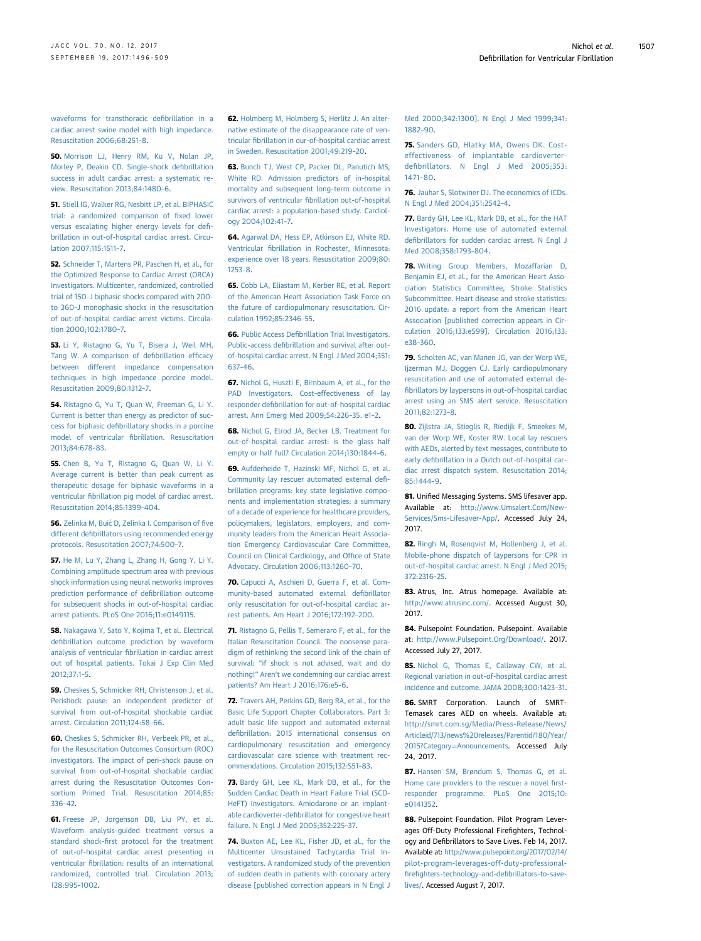<span id="page-11-0"></span>[waveforms for transthoracic de](http://refhub.elsevier.com/S0735-1097(17)39140-4/sref49)fibrillation in a [cardiac arrest swine model with high impedance.](http://refhub.elsevier.com/S0735-1097(17)39140-4/sref49) [Resuscitation 2006;68:251](http://refhub.elsevier.com/S0735-1097(17)39140-4/sref49)–8.

50. [Morrison LJ, Henry RM, Ku V, Nolan JP,](http://refhub.elsevier.com/S0735-1097(17)39140-4/sref50) [Morley P, Deakin CD. Single-shock de](http://refhub.elsevier.com/S0735-1097(17)39140-4/sref50)fibrillation [success in adult cardiac arrest: a systematic re](http://refhub.elsevier.com/S0735-1097(17)39140-4/sref50)[view. Resuscitation 2013;84:1480](http://refhub.elsevier.com/S0735-1097(17)39140-4/sref50)–6.

51. [Stiell IG, Walker RG, Nesbitt LP, et al. BIPHASIC](http://refhub.elsevier.com/S0735-1097(17)39140-4/sref51) [trial: a randomized comparison of](http://refhub.elsevier.com/S0735-1097(17)39140-4/sref51) fixed lower [versus escalating higher energy levels for de](http://refhub.elsevier.com/S0735-1097(17)39140-4/sref51)fi[brillation in out-of-hospital cardiac arrest. Circu](http://refhub.elsevier.com/S0735-1097(17)39140-4/sref51)[lation 2007;115:1511](http://refhub.elsevier.com/S0735-1097(17)39140-4/sref51)–7.

52. [Schneider T, Martens PR, Paschen H, et al., for](http://refhub.elsevier.com/S0735-1097(17)39140-4/sref52) [the Optimized Response to Cardiac Arrest \(ORCA\)](http://refhub.elsevier.com/S0735-1097(17)39140-4/sref52) [Investigators. Multicenter, randomized, controlled](http://refhub.elsevier.com/S0735-1097(17)39140-4/sref52) trial of 150-J binhasic shocks compared with 200[to 360-J monophasic shocks in the resuscitation](http://refhub.elsevier.com/S0735-1097(17)39140-4/sref52) [of out-of-hospital cardiac arrest victims. Circula](http://refhub.elsevier.com/S0735-1097(17)39140-4/sref52)[tion 2000;102:1780](http://refhub.elsevier.com/S0735-1097(17)39140-4/sref52)–7.

53. [Li Y, Ristagno G, Yu T, Bisera J, Weil MH,](http://refhub.elsevier.com/S0735-1097(17)39140-4/sref53) [Tang W. A comparison of de](http://refhub.elsevier.com/S0735-1097(17)39140-4/sref53)fibrillation efficacy [between different impedance compensation](http://refhub.elsevier.com/S0735-1097(17)39140-4/sref53) [techniques in high impedance porcine model.](http://refhub.elsevier.com/S0735-1097(17)39140-4/sref53) [Resuscitation 2009;80:1312](http://refhub.elsevier.com/S0735-1097(17)39140-4/sref53)–7.

54. [Ristagno G, Yu T, Quan W, Freeman G, Li Y.](http://refhub.elsevier.com/S0735-1097(17)39140-4/sref54) [Current is better than energy as predictor of suc](http://refhub.elsevier.com/S0735-1097(17)39140-4/sref54)cess for biphasic defi[brillatory shocks in a porcine](http://refhub.elsevier.com/S0735-1097(17)39140-4/sref54) model of ventricular fi[brillation. Resuscitation](http://refhub.elsevier.com/S0735-1097(17)39140-4/sref54) [2013;84:678](http://refhub.elsevier.com/S0735-1097(17)39140-4/sref54)–83.

55. [Chen B, Yu T, Ristagno G, Quan W, Li Y.](http://refhub.elsevier.com/S0735-1097(17)39140-4/sref55) [Average current is better than peak current as](http://refhub.elsevier.com/S0735-1097(17)39140-4/sref55) [therapeutic dosage for biphasic waveforms in a](http://refhub.elsevier.com/S0735-1097(17)39140-4/sref55) ventricular fi[brillation pig model of cardiac arrest.](http://refhub.elsevier.com/S0735-1097(17)39140-4/sref55) [Resuscitation 2014;85:1399](http://refhub.elsevier.com/S0735-1097(17)39140-4/sref55)–404.

56. [Zelinka M, Bui](http://refhub.elsevier.com/S0735-1097(17)39140-4/sref56)ć D, Zelinka I. Comparison of five different defi[brillators using recommended energy](http://refhub.elsevier.com/S0735-1097(17)39140-4/sref56) [protocols. Resuscitation 2007;74:500](http://refhub.elsevier.com/S0735-1097(17)39140-4/sref56)–7.

57. [He M, Lu Y, Zhang L, Zhang H, Gong Y, Li Y.](http://refhub.elsevier.com/S0735-1097(17)39140-4/sref57) [Combining amplitude spectrum area with previous](http://refhub.elsevier.com/S0735-1097(17)39140-4/sref57) [shock information using neural networks improves](http://refhub.elsevier.com/S0735-1097(17)39140-4/sref57) [prediction performance of de](http://refhub.elsevier.com/S0735-1097(17)39140-4/sref57)fibrillation outcome [for subsequent shocks in out-of-hospital cardiac](http://refhub.elsevier.com/S0735-1097(17)39140-4/sref57) [arrest patients. PLoS One 2016;11:e0149115](http://refhub.elsevier.com/S0735-1097(17)39140-4/sref57).

58. [Nakagawa Y, Sato Y, Kojima T, et al. Electrical](http://refhub.elsevier.com/S0735-1097(17)39140-4/sref58) defi[brillation outcome prediction by waveform](http://refhub.elsevier.com/S0735-1097(17)39140-4/sref58) analysis of ventricular fi[brillation in cardiac arrest](http://refhub.elsevier.com/S0735-1097(17)39140-4/sref58) [out of hospital patients. Tokai J Exp Clin Med](http://refhub.elsevier.com/S0735-1097(17)39140-4/sref58) [2012;37:1](http://refhub.elsevier.com/S0735-1097(17)39140-4/sref58)–5.

59. [Cheskes S, Schmicker RH, Christenson J, et al.](http://refhub.elsevier.com/S0735-1097(17)39140-4/sref59) [Perishock pause: an independent predictor of](http://refhub.elsevier.com/S0735-1097(17)39140-4/sref59) [survival from out-of-hospital shockable cardiac](http://refhub.elsevier.com/S0735-1097(17)39140-4/sref59) [arrest. Circulation 2011;124:58](http://refhub.elsevier.com/S0735-1097(17)39140-4/sref59)–66.

60. Cheskes S, Schmicker RH, Verbeek PR, et al. [for the Resuscitation Outcomes Consortium \(ROC\)](http://refhub.elsevier.com/S0735-1097(17)39140-4/sref60) [investigators. The impact of peri-shock pause on](http://refhub.elsevier.com/S0735-1097(17)39140-4/sref60) [survival from out-of-hospital shockable cardiac](http://refhub.elsevier.com/S0735-1097(17)39140-4/sref60) [arrest during the Resuscitation Outcomes Con](http://refhub.elsevier.com/S0735-1097(17)39140-4/sref60)[sortium Primed Trial. Resuscitation 2014;85:](http://refhub.elsevier.com/S0735-1097(17)39140-4/sref60) [336](http://refhub.elsevier.com/S0735-1097(17)39140-4/sref60)–42.

61. [Freese JP, Jorgenson DB, Liu PY, et al.](http://refhub.elsevier.com/S0735-1097(17)39140-4/sref61) [Waveform analysis-guided treatment versus a](http://refhub.elsevier.com/S0735-1097(17)39140-4/sref61) standard shock-fi[rst protocol for the treatment](http://refhub.elsevier.com/S0735-1097(17)39140-4/sref61) [of out-of-hospital cardiac arrest presenting in](http://refhub.elsevier.com/S0735-1097(17)39140-4/sref61) ventricular fi[brillation: results of an international](http://refhub.elsevier.com/S0735-1097(17)39140-4/sref61) [randomized, controlled trial. Circulation 2013;](http://refhub.elsevier.com/S0735-1097(17)39140-4/sref61) [128:995](http://refhub.elsevier.com/S0735-1097(17)39140-4/sref61)–1002.

62. [Holmberg M, Holmberg S, Herlitz J. An alter](http://refhub.elsevier.com/S0735-1097(17)39140-4/sref62)[native estimate of the disappearance rate of ven](http://refhub.elsevier.com/S0735-1097(17)39140-4/sref62)tricular fi[brillation in our-of-hospital cardiac arrest](http://refhub.elsevier.com/S0735-1097(17)39140-4/sref62) [in Sweden. Resuscitation 2001;49:219](http://refhub.elsevier.com/S0735-1097(17)39140-4/sref62)–20.

63. [Bunch TJ, West CP, Packer DL, Panutich MS,](http://refhub.elsevier.com/S0735-1097(17)39140-4/sref63) [White RD. Admission predictors of in-hospital](http://refhub.elsevier.com/S0735-1097(17)39140-4/sref63) [mortality and subsequent long-term outcome in](http://refhub.elsevier.com/S0735-1097(17)39140-4/sref63) survivors of ventricular fi[brillation out-of-hospital](http://refhub.elsevier.com/S0735-1097(17)39140-4/sref63) [cardiac arrest: a population-based study. Cardiol](http://refhub.elsevier.com/S0735-1097(17)39140-4/sref63)[ogy 2004;102:41](http://refhub.elsevier.com/S0735-1097(17)39140-4/sref63)–7.

64. [Agarwal DA, Hess EP, Atkinson EJ, White RD.](http://refhub.elsevier.com/S0735-1097(17)39140-4/sref64) Ventricular fi[brillation in Rochester, Minnesota:](http://refhub.elsevier.com/S0735-1097(17)39140-4/sref64) [experience over 18 years. Resuscitation 2009;80:](http://refhub.elsevier.com/S0735-1097(17)39140-4/sref64) [1253](http://refhub.elsevier.com/S0735-1097(17)39140-4/sref64)–8.

65. [Cobb LA, Eliastam M, Kerber RE, et al. Report](http://refhub.elsevier.com/S0735-1097(17)39140-4/sref65) [of the American Heart Association Task Force on](http://refhub.elsevier.com/S0735-1097(17)39140-4/sref65) [the future of cardiopulmonary resuscitation. Cir](http://refhub.elsevier.com/S0735-1097(17)39140-4/sref65)[culation 1992;85:2346](http://refhub.elsevier.com/S0735-1097(17)39140-4/sref65)–55.

66. Public Access Defi[brillation Trial Investigators.](http://refhub.elsevier.com/S0735-1097(17)39140-4/sref66) Public-access defi[brillation and survival after out](http://refhub.elsevier.com/S0735-1097(17)39140-4/sref66)[of-hospital cardiac arrest. N Engl J Med 2004;351:](http://refhub.elsevier.com/S0735-1097(17)39140-4/sref66) [637](http://refhub.elsevier.com/S0735-1097(17)39140-4/sref66)–46.

67. [Nichol G, Huszti E, Birnbaum A, et al., for the](http://refhub.elsevier.com/S0735-1097(17)39140-4/sref67) [PAD Investigators. Cost-effectiveness of lay](http://refhub.elsevier.com/S0735-1097(17)39140-4/sref67) responder defi[brillation for out-of-hospital cardiac](http://refhub.elsevier.com/S0735-1097(17)39140-4/sref67) [arrest. Ann Emerg Med 2009;54:226](http://refhub.elsevier.com/S0735-1097(17)39140-4/sref67)–35. e1–2.

68. [Nichol G, Elrod JA, Becker LB. Treatment for](http://refhub.elsevier.com/S0735-1097(17)39140-4/sref68) [out-of-hospital cardiac arrest: is the glass half](http://refhub.elsevier.com/S0735-1097(17)39140-4/sref68) [empty or half full? Circulation 2014;130:1844](http://refhub.elsevier.com/S0735-1097(17)39140-4/sref68)–6.

69. [Aufderheide T, Hazinski MF, Nichol G, et al.](http://refhub.elsevier.com/S0735-1097(17)39140-4/sref69) [Community lay rescuer automated external de](http://refhub.elsevier.com/S0735-1097(17)39140-4/sref69)fi[brillation programs: key state legislative compo](http://refhub.elsevier.com/S0735-1097(17)39140-4/sref69)[nents and implementation strategies: a summary](http://refhub.elsevier.com/S0735-1097(17)39140-4/sref69) [of a decade of experience for healthcare providers,](http://refhub.elsevier.com/S0735-1097(17)39140-4/sref69) [policymakers, legislators, employers, and com](http://refhub.elsevier.com/S0735-1097(17)39140-4/sref69)[munity leaders from the American Heart Associa](http://refhub.elsevier.com/S0735-1097(17)39140-4/sref69)[tion Emergency Cardiovascular Care Committee,](http://refhub.elsevier.com/S0735-1097(17)39140-4/sref69) [Council on Clinical Cardiology, and Of](http://refhub.elsevier.com/S0735-1097(17)39140-4/sref69)fice of State [Advocacy. Circulation 2006;113:1260](http://refhub.elsevier.com/S0735-1097(17)39140-4/sref69)–70.

70. [Capucci A, Aschieri D, Guerra F, et al. Com](http://refhub.elsevier.com/S0735-1097(17)39140-4/sref70)[munity-based automated external de](http://refhub.elsevier.com/S0735-1097(17)39140-4/sref70)fibrillator [only resuscitation for out-of-hospital cardiac ar](http://refhub.elsevier.com/S0735-1097(17)39140-4/sref70)[rest patients. Am Heart J 2016;172:192](http://refhub.elsevier.com/S0735-1097(17)39140-4/sref70)–200.

71. [Ristagno G, Pellis T, Semeraro F, et al., for the](http://refhub.elsevier.com/S0735-1097(17)39140-4/sref71) [Italian Resuscitation Council. The nonsense para](http://refhub.elsevier.com/S0735-1097(17)39140-4/sref71)[digm of rethinking the second link of the chain of](http://refhub.elsevier.com/S0735-1097(17)39140-4/sref71) survival: "[if shock is not advised, wait and do](http://refhub.elsevier.com/S0735-1097(17)39140-4/sref71) nothing!" Aren'[t we condemning our cardiac arrest](http://refhub.elsevier.com/S0735-1097(17)39140-4/sref71) [patients? Am Heart J 2016;176:e5](http://refhub.elsevier.com/S0735-1097(17)39140-4/sref71)–6.

72. [Travers AH, Perkins GD, Berg RA, et al., for the](http://refhub.elsevier.com/S0735-1097(17)39140-4/sref72) [Basic Life Support Chapter Collaborators. Part 3:](http://refhub.elsevier.com/S0735-1097(17)39140-4/sref72) [adult basic life support and automated external](http://refhub.elsevier.com/S0735-1097(17)39140-4/sref72) defi[brillation: 2015 international consensus on](http://refhub.elsevier.com/S0735-1097(17)39140-4/sref72) [cardiopulmonary resuscitation and emergency](http://refhub.elsevier.com/S0735-1097(17)39140-4/sref72) [cardiovascular care science with treatment rec](http://refhub.elsevier.com/S0735-1097(17)39140-4/sref72)[ommendations. Circulation 2015;132:S51](http://refhub.elsevier.com/S0735-1097(17)39140-4/sref72)–83.

73. [Bardy GH, Lee KL, Mark DB, et al., for the](http://refhub.elsevier.com/S0735-1097(17)39140-4/sref73) [Sudden Cardiac Death in Heart Failure Trial \(SCD-](http://refhub.elsevier.com/S0735-1097(17)39140-4/sref73)[HeFT\) Investigators. Amiodarone or an implant](http://refhub.elsevier.com/S0735-1097(17)39140-4/sref73)able cardioverter-defi[brillator for congestive heart](http://refhub.elsevier.com/S0735-1097(17)39140-4/sref73) [failure. N Engl J Med 2005;352:225](http://refhub.elsevier.com/S0735-1097(17)39140-4/sref73)–37.

74. [Buxton AE, Lee KL, Fisher JD, et al., for the](http://refhub.elsevier.com/S0735-1097(17)39140-4/sref74) [Multicenter Unsustained Tachycardia Trial In](http://refhub.elsevier.com/S0735-1097(17)39140-4/sref74)[vestigators. A randomized study of the prevention](http://refhub.elsevier.com/S0735-1097(17)39140-4/sref74) [of sudden death in patients with coronary artery](http://refhub.elsevier.com/S0735-1097(17)39140-4/sref74) [disease \[published correction appears in N Engl J](http://refhub.elsevier.com/S0735-1097(17)39140-4/sref74) [Med 2000;342:1300\]. N Engl J Med 1999;341:](http://refhub.elsevier.com/S0735-1097(17)39140-4/sref74) [1882](http://refhub.elsevier.com/S0735-1097(17)39140-4/sref74)–90.

75. [Sanders GD, Hlatky MA, Owens DK. Cost](http://refhub.elsevier.com/S0735-1097(17)39140-4/sref75)[effectiveness of implantable cardioverter](http://refhub.elsevier.com/S0735-1097(17)39140-4/sref75)defi[brillators. N Engl J Med 2005;353:](http://refhub.elsevier.com/S0735-1097(17)39140-4/sref75) [1471](http://refhub.elsevier.com/S0735-1097(17)39140-4/sref75)–80.

76. [Jauhar S, Slotwiner DJ. The economics of ICDs.](http://refhub.elsevier.com/S0735-1097(17)39140-4/sref76) [N Engl J Med 2004;351:2542](http://refhub.elsevier.com/S0735-1097(17)39140-4/sref76)–4.

77. [Bardy GH, Lee KL, Mark DB, et al., for the HAT](http://refhub.elsevier.com/S0735-1097(17)39140-4/sref77) [Investigators. Home use of automated external](http://refhub.elsevier.com/S0735-1097(17)39140-4/sref77) defi[brillators for sudden cardiac arrest. N Engl J](http://refhub.elsevier.com/S0735-1097(17)39140-4/sref77) [Med 2008;358:1793](http://refhub.elsevier.com/S0735-1097(17)39140-4/sref77)–804.

78. [Writing Group Members, Mozaffarian D,](http://refhub.elsevier.com/S0735-1097(17)39140-4/sref78) [Benjamin EJ, et al., for the American Heart Asso](http://refhub.elsevier.com/S0735-1097(17)39140-4/sref78)[ciation Statistics Committee, Stroke Statistics](http://refhub.elsevier.com/S0735-1097(17)39140-4/sref78) [Subcommittee. Heart disease and stroke statistics:](http://refhub.elsevier.com/S0735-1097(17)39140-4/sref78) [2016 update: a report from the American Heart](http://refhub.elsevier.com/S0735-1097(17)39140-4/sref78) [Association \[published correction appears in Cir](http://refhub.elsevier.com/S0735-1097(17)39140-4/sref78)[culation 2016;133:e599\]. Circulation 2016;133:](http://refhub.elsevier.com/S0735-1097(17)39140-4/sref78) e38–[360](http://refhub.elsevier.com/S0735-1097(17)39140-4/sref78).

79. [Scholten AC, van Manen JG, van der Worp WE,](http://refhub.elsevier.com/S0735-1097(17)39140-4/sref79) [Ijzerman MJ, Doggen CJ. Early cardiopulmonary](http://refhub.elsevier.com/S0735-1097(17)39140-4/sref79) [resuscitation and use of automated external de](http://refhub.elsevier.com/S0735-1097(17)39140-4/sref79)fi[brillators by laypersons in out-of-hospital cardiac](http://refhub.elsevier.com/S0735-1097(17)39140-4/sref79) [arrest using an SMS alert service. Resuscitation](http://refhub.elsevier.com/S0735-1097(17)39140-4/sref79) [2011;82:1273](http://refhub.elsevier.com/S0735-1097(17)39140-4/sref79)–8.

80. [Zijlstra JA, Stieglis R, Riedijk F, Smeekes M,](http://refhub.elsevier.com/S0735-1097(17)39140-4/sref80) [van der Worp WE, Koster RW. Local lay rescuers](http://refhub.elsevier.com/S0735-1097(17)39140-4/sref80) [with AEDs, alerted by text messages, contribute to](http://refhub.elsevier.com/S0735-1097(17)39140-4/sref80) early defi[brillation in a Dutch out-of-hospital car](http://refhub.elsevier.com/S0735-1097(17)39140-4/sref80)[diac arrest dispatch system. Resuscitation 2014;](http://refhub.elsevier.com/S0735-1097(17)39140-4/sref80) [85:1444](http://refhub.elsevier.com/S0735-1097(17)39140-4/sref80)–9.

81. Unified Messaging Systems. SMS lifesaver app. Available at: [http://www.Umsalert.Com/New-](http://www.Umsalert.Com/New-Services/Sms-Lifesaver-App/)[Services/Sms-Lifesaver-App/](http://www.Umsalert.Com/New-Services/Sms-Lifesaver-App/). Accessed July 24, 2017.

82. [Ringh M, Rosenqvist M, Hollenberg J, et al.](http://refhub.elsevier.com/S0735-1097(17)39140-4/sref82) [Mobile-phone dispatch of laypersons for CPR in](http://refhub.elsevier.com/S0735-1097(17)39140-4/sref82) [out-of-hospital cardiac arrest. N Engl J Med 2015;](http://refhub.elsevier.com/S0735-1097(17)39140-4/sref82) [372:2316](http://refhub.elsevier.com/S0735-1097(17)39140-4/sref82)–25.

83. Atrus, Inc. Atrus homepage. Available at: <http://www.atrusinc.com/>. Accessed August 30, 2017.

84. Pulsepoint Foundation. Pulsepoint. Available at: <http://www.Pulsepoint.Org/Download/>. 2017. Accessed July 27, 2017.

85. [Nichol G, Thomas E, Callaway CW, et al.](http://refhub.elsevier.com/S0735-1097(17)39140-4/sref85) [Regional variation in out-of-hospital cardiac arrest](http://refhub.elsevier.com/S0735-1097(17)39140-4/sref85) [incidence and outcome. JAMA 2008;300:1423](http://refhub.elsevier.com/S0735-1097(17)39140-4/sref85)–31.

86. SMRT Corporation. Launch of SMRT-Temasek cares AED on wheels. Available at: [http://smrt.com.sg/Media/Press-Release/News/](http://smrt.com.sg/Media/Press-Release/News/Articleid/713/news%20releases/Parentid/180/Year/2015?Category=Announcements) [Articleid/713/news%20releases/Parentid/180/Year/](http://smrt.com.sg/Media/Press-Release/News/Articleid/713/news%20releases/Parentid/180/Year/2015?Category=Announcements) [2015?Category](http://smrt.com.sg/Media/Press-Release/News/Articleid/713/news%20releases/Parentid/180/Year/2015?Category=Announcements)=[Announcements.](http://smrt.com.sg/Media/Press-Release/News/Articleid/713/news%20releases/Parentid/180/Year/2015?Category=Announcements) Accessed July 24, 2017.

87. [Hansen SM, Brøndum S, Thomas G, et al.](http://refhub.elsevier.com/S0735-1097(17)39140-4/sref87) [Home care providers to the rescue: a novel](http://refhub.elsevier.com/S0735-1097(17)39140-4/sref87) first[responder programme. PLoS One 2015;10:](http://refhub.elsevier.com/S0735-1097(17)39140-4/sref87) [e0141352](http://refhub.elsevier.com/S0735-1097(17)39140-4/sref87).

88. Pulsepoint Foundation. Pilot Program Leverages Off-Duty Professional Firefighters, Technology and Defibrillators to Save Lives. Feb 14, 2017. Available at: [http://www.pulsepoint.org/2017/02/14/](http://www.pulsepoint.org/2017/02/14/pilot-program-leverages-off-duty-professional-firefighters-technology-and-defibrillators-to-save-lives/) [pilot-program-leverages-off-duty-professional](http://www.pulsepoint.org/2017/02/14/pilot-program-leverages-off-duty-professional-firefighters-technology-and-defibrillators-to-save-lives/)firefi[ghters-technology-and-de](http://www.pulsepoint.org/2017/02/14/pilot-program-leverages-off-duty-professional-firefighters-technology-and-defibrillators-to-save-lives/)fibrillators-to-save[lives/.](http://www.pulsepoint.org/2017/02/14/pilot-program-leverages-off-duty-professional-firefighters-technology-and-defibrillators-to-save-lives/) Accessed August 7, 2017.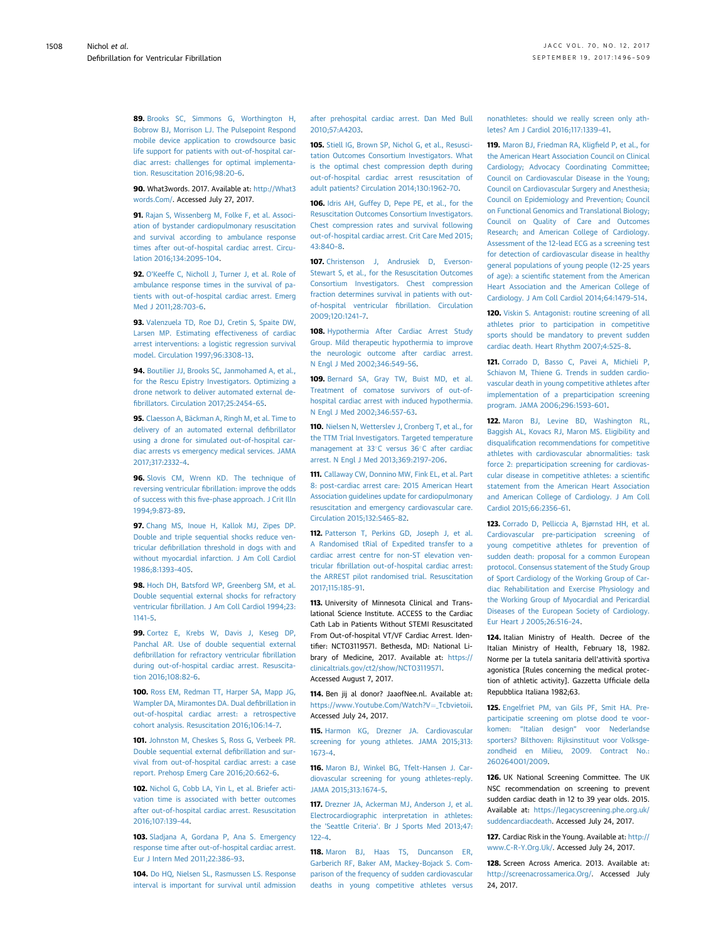<span id="page-12-0"></span>89. [Brooks SC, Simmons G, Worthington H,](http://refhub.elsevier.com/S0735-1097(17)39140-4/sref89) [Bobrow BJ, Morrison LJ. The Pulsepoint Respond](http://refhub.elsevier.com/S0735-1097(17)39140-4/sref89) [mobile device application to crowdsource basic](http://refhub.elsevier.com/S0735-1097(17)39140-4/sref89) [life support for patients with out-of-hospital car](http://refhub.elsevier.com/S0735-1097(17)39140-4/sref89)[diac arrest: challenges for optimal implementa](http://refhub.elsevier.com/S0735-1097(17)39140-4/sref89)[tion. Resuscitation 2016;98:20](http://refhub.elsevier.com/S0735-1097(17)39140-4/sref89)–6.

90. What3words. 2017. Available at: [http://What3](http://What3words.Com/) [words.Com/.](http://What3words.Com/) Accessed July 27, 2017.

91. [Rajan S, Wissenberg M, Folke F, et al. Associ](http://refhub.elsevier.com/S0735-1097(17)39140-4/sref91)[ation of bystander cardiopulmonary resuscitation](http://refhub.elsevier.com/S0735-1097(17)39140-4/sref91) [and survival according to ambulance response](http://refhub.elsevier.com/S0735-1097(17)39140-4/sref91) [times after out-of-hospital cardiac arrest. Circu](http://refhub.elsevier.com/S0735-1097(17)39140-4/sref91)[lation 2016;134:2095](http://refhub.elsevier.com/S0735-1097(17)39140-4/sref91)–104.

92. O'[Keeffe C, Nicholl J, Turner J, et al. Role of](http://refhub.elsevier.com/S0735-1097(17)39140-4/sref92) [ambulance response times in the survival of pa](http://refhub.elsevier.com/S0735-1097(17)39140-4/sref92)[tients with out-of-hospital cardiac arrest. Emerg](http://refhub.elsevier.com/S0735-1097(17)39140-4/sref92) [Med J 2011;28:703](http://refhub.elsevier.com/S0735-1097(17)39140-4/sref92)–6.

93. [Valenzuela TD, Roe DJ, Cretin S, Spaite DW,](http://refhub.elsevier.com/S0735-1097(17)39140-4/sref93) [Larsen MP. Estimating effectiveness of cardiac](http://refhub.elsevier.com/S0735-1097(17)39140-4/sref93) [arrest interventions: a logistic regression survival](http://refhub.elsevier.com/S0735-1097(17)39140-4/sref93) [model. Circulation 1997;96:3308](http://refhub.elsevier.com/S0735-1097(17)39140-4/sref93)–13.

94. [Boutilier JJ, Brooks SC, Janmohamed A, et al.,](http://refhub.elsevier.com/S0735-1097(17)39140-4/sref94) [for the Rescu Epistry Investigators. Optimizing a](http://refhub.elsevier.com/S0735-1097(17)39140-4/sref94) [drone network to deliver automated external de](http://refhub.elsevier.com/S0735-1097(17)39140-4/sref94)fi[brillators. Circulation 2017;25:2454](http://refhub.elsevier.com/S0735-1097(17)39140-4/sref94)–65.

95. [Claesson A, Bäckman A, Ringh M, et al. Time to](http://refhub.elsevier.com/S0735-1097(17)39140-4/sref95) [delivery of an automated external de](http://refhub.elsevier.com/S0735-1097(17)39140-4/sref95)fibrillator [using a drone for simulated out-of-hospital car](http://refhub.elsevier.com/S0735-1097(17)39140-4/sref95)[diac arrests vs emergency medical services. JAMA](http://refhub.elsevier.com/S0735-1097(17)39140-4/sref95) [2017;317:2332](http://refhub.elsevier.com/S0735-1097(17)39140-4/sref95)–4.

96. [Slovis CM, Wrenn KD. The technique of](http://refhub.elsevier.com/S0735-1097(17)39140-4/sref96) reversing ventricular fi[brillation: improve the odds](http://refhub.elsevier.com/S0735-1097(17)39140-4/sref96) of success with this fi[ve-phase approach. J Crit Illn](http://refhub.elsevier.com/S0735-1097(17)39140-4/sref96) [1994;9:873](http://refhub.elsevier.com/S0735-1097(17)39140-4/sref96)–89.

97. [Chang MS, Inoue H, Kallok MJ, Zipes DP.](http://refhub.elsevier.com/S0735-1097(17)39140-4/sref97) [Double and triple sequential shocks reduce ven](http://refhub.elsevier.com/S0735-1097(17)39140-4/sref97)tricular defi[brillation threshold in dogs with and](http://refhub.elsevier.com/S0735-1097(17)39140-4/sref97) [without myocardial infarction. J Am Coll Cardiol](http://refhub.elsevier.com/S0735-1097(17)39140-4/sref97) [1986;8:1393](http://refhub.elsevier.com/S0735-1097(17)39140-4/sref97)–405.

98. [Hoch DH, Batsford WP, Greenberg SM, et al.](http://refhub.elsevier.com/S0735-1097(17)39140-4/sref98) [Double sequential external shocks for refractory](http://refhub.elsevier.com/S0735-1097(17)39140-4/sref98) ventricular fi[brillation. J Am Coll Cardiol 1994;23:](http://refhub.elsevier.com/S0735-1097(17)39140-4/sref98) [1141](http://refhub.elsevier.com/S0735-1097(17)39140-4/sref98)–5.

99. [Cortez E, Krebs W, Davis J, Keseg DP,](http://refhub.elsevier.com/S0735-1097(17)39140-4/sref99) [Panchal AR. Use of double sequential external](http://refhub.elsevier.com/S0735-1097(17)39140-4/sref99) defi[brillation for refractory ventricular](http://refhub.elsevier.com/S0735-1097(17)39140-4/sref99) fibrillation [during out-of-hospital cardiac arrest. Resuscita](http://refhub.elsevier.com/S0735-1097(17)39140-4/sref99)[tion 2016;108:82](http://refhub.elsevier.com/S0735-1097(17)39140-4/sref99)–6.

100. [Ross EM, Redman TT, Harper SA, Mapp JG,](http://refhub.elsevier.com/S0735-1097(17)39140-4/sref100) [Wampler DA, Miramontes DA. Dual de](http://refhub.elsevier.com/S0735-1097(17)39140-4/sref100)fibrillation in [out-of-hospital cardiac arrest: a retrospective](http://refhub.elsevier.com/S0735-1097(17)39140-4/sref100) [cohort analysis. Resuscitation 2016;106:14](http://refhub.elsevier.com/S0735-1097(17)39140-4/sref100)–7.

101. [Johnston M, Cheskes S, Ross G, Verbeek PR.](http://refhub.elsevier.com/S0735-1097(17)39140-4/sref101) [Double sequential external de](http://refhub.elsevier.com/S0735-1097(17)39140-4/sref101)fibrillation and sur[vival from out-of-hospital cardiac arrest: a case](http://refhub.elsevier.com/S0735-1097(17)39140-4/sref101) [report. Prehosp Emerg Care 2016;20:662](http://refhub.elsevier.com/S0735-1097(17)39140-4/sref101)–6.

102. [Nichol G, Cobb LA, Yin L, et al. Briefer acti](http://refhub.elsevier.com/S0735-1097(17)39140-4/sref102)[vation time is associated with better outcomes](http://refhub.elsevier.com/S0735-1097(17)39140-4/sref102) [after out-of-hospital cardiac arrest. Resuscitation](http://refhub.elsevier.com/S0735-1097(17)39140-4/sref102) [2016;107:139](http://refhub.elsevier.com/S0735-1097(17)39140-4/sref102)–44.

103. [Sladjana A, Gordana P, Ana S. Emergency](http://refhub.elsevier.com/S0735-1097(17)39140-4/sref103) [response time after out-of-hospital cardiac arrest.](http://refhub.elsevier.com/S0735-1097(17)39140-4/sref103) [Eur J Intern Med 2011;22:386](http://refhub.elsevier.com/S0735-1097(17)39140-4/sref103)–93.

104. [Do HQ, Nielsen SL, Rasmussen LS. Response](http://refhub.elsevier.com/S0735-1097(17)39140-4/sref104) [interval is important for survival until admission](http://refhub.elsevier.com/S0735-1097(17)39140-4/sref104)

[after prehospital cardiac arrest. Dan Med Bull](http://refhub.elsevier.com/S0735-1097(17)39140-4/sref104) [2010;57:A4203.](http://refhub.elsevier.com/S0735-1097(17)39140-4/sref104)

105. [Stiell IG, Brown SP, Nichol G, et al., Resusci](http://refhub.elsevier.com/S0735-1097(17)39140-4/sref105)[tation Outcomes Consortium Investigators. What](http://refhub.elsevier.com/S0735-1097(17)39140-4/sref105) [is the optimal chest compression depth during](http://refhub.elsevier.com/S0735-1097(17)39140-4/sref105) [out-of-hospital cardiac arrest resuscitation of](http://refhub.elsevier.com/S0735-1097(17)39140-4/sref105) [adult patients? Circulation 2014;130:1962](http://refhub.elsevier.com/S0735-1097(17)39140-4/sref105)–70.

106. [Idris AH, Guffey D, Pepe PE, et al., for the](http://refhub.elsevier.com/S0735-1097(17)39140-4/sref106) [Resuscitation Outcomes Consortium Investigators.](http://refhub.elsevier.com/S0735-1097(17)39140-4/sref106) [Chest compression rates and survival following](http://refhub.elsevier.com/S0735-1097(17)39140-4/sref106) [out-of-hospital cardiac arrest. Crit Care Med 2015;](http://refhub.elsevier.com/S0735-1097(17)39140-4/sref106) [43:840](http://refhub.elsevier.com/S0735-1097(17)39140-4/sref106)–8.

107. [Christenson J, Andrusiek D, Everson-](http://refhub.elsevier.com/S0735-1097(17)39140-4/sref107)[Stewart S, et al., for the Resuscitation Outcomes](http://refhub.elsevier.com/S0735-1097(17)39140-4/sref107) [Consortium Investigators. Chest compression](http://refhub.elsevier.com/S0735-1097(17)39140-4/sref107) [fraction determines survival in patients with out](http://refhub.elsevier.com/S0735-1097(17)39140-4/sref107)[of-hospital ventricular](http://refhub.elsevier.com/S0735-1097(17)39140-4/sref107) fibrillation. Circulation [2009;120:1241](http://refhub.elsevier.com/S0735-1097(17)39140-4/sref107)–7.

108. [Hypothermia After Cardiac Arrest Study](http://refhub.elsevier.com/S0735-1097(17)39140-4/sref108) [Group. Mild therapeutic hypothermia to improve](http://refhub.elsevier.com/S0735-1097(17)39140-4/sref108) [the neurologic outcome after cardiac arrest.](http://refhub.elsevier.com/S0735-1097(17)39140-4/sref108) [N Engl J Med 2002;346:549](http://refhub.elsevier.com/S0735-1097(17)39140-4/sref108)–56.

109. [Bernard SA, Gray TW, Buist MD, et al.](http://refhub.elsevier.com/S0735-1097(17)39140-4/sref109) [Treatment of comatose survivors of out-of](http://refhub.elsevier.com/S0735-1097(17)39140-4/sref109)[hospital cardiac arrest with induced hypothermia.](http://refhub.elsevier.com/S0735-1097(17)39140-4/sref109) [N Engl J Med 2002;346:557](http://refhub.elsevier.com/S0735-1097(17)39140-4/sref109)–63.

110. [Nielsen N, Wetterslev J, Cronberg T, et al., for](http://refhub.elsevier.com/S0735-1097(17)39140-4/sref110) [the TTM Trial Investigators. Targeted temperature](http://refhub.elsevier.com/S0735-1097(17)39140-4/sref110) [management at 33](http://refhub.elsevier.com/S0735-1097(17)39140-4/sref110)°[C versus 36](http://refhub.elsevier.com/S0735-1097(17)39140-4/sref110)°[C after cardiac](http://refhub.elsevier.com/S0735-1097(17)39140-4/sref110) [arrest. N Engl J Med 2013;369:2197](http://refhub.elsevier.com/S0735-1097(17)39140-4/sref110)–206.

111. [Callaway CW, Donnino MW, Fink EL, et al. Part](http://refhub.elsevier.com/S0735-1097(17)39140-4/sref111) [8: post-cardiac arrest care: 2015 American Heart](http://refhub.elsevier.com/S0735-1097(17)39140-4/sref111) [Association guidelines update for cardiopulmonary](http://refhub.elsevier.com/S0735-1097(17)39140-4/sref111) [resuscitation and emergency cardiovascular care.](http://refhub.elsevier.com/S0735-1097(17)39140-4/sref111) [Circulation 2015;132:S465](http://refhub.elsevier.com/S0735-1097(17)39140-4/sref111)–82.

112. [Patterson T, Perkins GD, Joseph J, et al.](http://refhub.elsevier.com/S0735-1097(17)39140-4/sref112) [A Randomised tRial of Expedited transfer to a](http://refhub.elsevier.com/S0735-1097(17)39140-4/sref112) [cardiac arrest centre for non-ST elevation ven](http://refhub.elsevier.com/S0735-1097(17)39140-4/sref112)tricular fi[brillation out-of-hospital cardiac arrest:](http://refhub.elsevier.com/S0735-1097(17)39140-4/sref112) [the ARREST pilot randomised trial. Resuscitation](http://refhub.elsevier.com/S0735-1097(17)39140-4/sref112) [2017;115:185](http://refhub.elsevier.com/S0735-1097(17)39140-4/sref112)–91.

113. University of Minnesota Clinical and Translational Science Institute. ACCESS to the Cardiac Cath Lab in Patients Without STEMI Resuscitated From Out-of-hospital VT/VF Cardiac Arrest. Identifier: NCT03119571. Bethesda, MD: National Library of Medicine, 2017. Available at: [https://](https://clinicaltrials.gov/ct2/show/NCT03119571) [clinicaltrials.gov/ct2/show/NCT03119571](https://clinicaltrials.gov/ct2/show/NCT03119571). Accessed August 7, 2017.

114. Ben jij al donor? JaaofNee.nl. Available at: [https://www.Youtube.Com/Watch?V](https://www.Youtube.Com/Watch?V=_Tcbvietoii)=[\\_Tcbvietoii.](https://www.Youtube.Com/Watch?V=_Tcbvietoii) Accessed July 24, 2017.

115. [Harmon KG, Drezner JA. Cardiovascular](http://refhub.elsevier.com/S0735-1097(17)39140-4/sref115) [screening for young athletes. JAMA 2015;313:](http://refhub.elsevier.com/S0735-1097(17)39140-4/sref115) [1673](http://refhub.elsevier.com/S0735-1097(17)39140-4/sref115)–4.

116. [Maron BJ, Winkel BG, Tfelt-Hansen J. Car](http://refhub.elsevier.com/S0735-1097(17)39140-4/sref116)[diovascular screening for young athletes](http://refhub.elsevier.com/S0735-1097(17)39140-4/sref116)–reply. [JAMA 2015;313:1674](http://refhub.elsevier.com/S0735-1097(17)39140-4/sref116)–5.

117. [Drezner JA, Ackerman MJ, Anderson J, et al.](http://refhub.elsevier.com/S0735-1097(17)39140-4/sref117) [Electrocardiographic interpretation in athletes:](http://refhub.elsevier.com/S0735-1097(17)39140-4/sref117) the 'Seattle Criteria'[. Br J Sports Med 2013;47:](http://refhub.elsevier.com/S0735-1097(17)39140-4/sref117) [122](http://refhub.elsevier.com/S0735-1097(17)39140-4/sref117)–4.

118. [Maron BJ, Haas TS, Duncanson ER,](http://refhub.elsevier.com/S0735-1097(17)39140-4/sref118) [Garberich RF, Baker AM, Mackey-Bojack S. Com](http://refhub.elsevier.com/S0735-1097(17)39140-4/sref118)[parison of the frequency of sudden cardiovascular](http://refhub.elsevier.com/S0735-1097(17)39140-4/sref118) [deaths in young competitive athletes versus](http://refhub.elsevier.com/S0735-1097(17)39140-4/sref118)

[nonathletes: should we really screen only ath](http://refhub.elsevier.com/S0735-1097(17)39140-4/sref118)[letes? Am J Cardiol 2016;117:1339](http://refhub.elsevier.com/S0735-1097(17)39140-4/sref118)–41.

119. [Maron BJ, Friedman RA, Klig](http://refhub.elsevier.com/S0735-1097(17)39140-4/sref119)field P, et al., for [the American Heart Association Council on Clinical](http://refhub.elsevier.com/S0735-1097(17)39140-4/sref119) [Cardiology; Advocacy Coordinating Committee;](http://refhub.elsevier.com/S0735-1097(17)39140-4/sref119) [Council on Cardiovascular Disease in the Young;](http://refhub.elsevier.com/S0735-1097(17)39140-4/sref119) [Council on Cardiovascular Surgery and Anesthesia;](http://refhub.elsevier.com/S0735-1097(17)39140-4/sref119) [Council on Epidemiology and Prevention; Council](http://refhub.elsevier.com/S0735-1097(17)39140-4/sref119) [on Functional Genomics and Translational Biology;](http://refhub.elsevier.com/S0735-1097(17)39140-4/sref119) [Council on Quality of Care and Outcomes](http://refhub.elsevier.com/S0735-1097(17)39140-4/sref119) [Research; and American College of Cardiology.](http://refhub.elsevier.com/S0735-1097(17)39140-4/sref119) [Assessment of the 12-lead ECG as a screening test](http://refhub.elsevier.com/S0735-1097(17)39140-4/sref119) [for detection of cardiovascular disease in healthy](http://refhub.elsevier.com/S0735-1097(17)39140-4/sref119) [general populations of young people \(12-25 years](http://refhub.elsevier.com/S0735-1097(17)39140-4/sref119) of age): a scientifi[c statement from the American](http://refhub.elsevier.com/S0735-1097(17)39140-4/sref119) [Heart Association and the American College of](http://refhub.elsevier.com/S0735-1097(17)39140-4/sref119) [Cardiology. J Am Coll Cardiol 2014;64:1479](http://refhub.elsevier.com/S0735-1097(17)39140-4/sref119)–514.

120. [Viskin S. Antagonist: routine screening of all](http://refhub.elsevier.com/S0735-1097(17)39140-4/sref120) [athletes prior to participation in competitive](http://refhub.elsevier.com/S0735-1097(17)39140-4/sref120) [sports should be mandatory to prevent sudden](http://refhub.elsevier.com/S0735-1097(17)39140-4/sref120) [cardiac death. Heart Rhythm 2007;4:525](http://refhub.elsevier.com/S0735-1097(17)39140-4/sref120)–8.

121. [Corrado D, Basso C, Pavei A, Michieli P,](http://refhub.elsevier.com/S0735-1097(17)39140-4/sref121) [Schiavon M, Thiene G. Trends in sudden cardio](http://refhub.elsevier.com/S0735-1097(17)39140-4/sref121)[vascular death in young competitive athletes after](http://refhub.elsevier.com/S0735-1097(17)39140-4/sref121) [implementation of a preparticipation screening](http://refhub.elsevier.com/S0735-1097(17)39140-4/sref121) [program. JAMA 2006;296:1593](http://refhub.elsevier.com/S0735-1097(17)39140-4/sref121)–601.

122. [Maron BJ, Levine BD, Washington RL,](http://refhub.elsevier.com/S0735-1097(17)39140-4/sref122) [Baggish AL, Kovacs RJ, Maron MS. Eligibility and](http://refhub.elsevier.com/S0735-1097(17)39140-4/sref122) disqualifi[cation recommendations for competitive](http://refhub.elsevier.com/S0735-1097(17)39140-4/sref122) [athletes with cardiovascular abnormalities: task](http://refhub.elsevier.com/S0735-1097(17)39140-4/sref122) [force 2: preparticipation screening for cardiovas](http://refhub.elsevier.com/S0735-1097(17)39140-4/sref122)[cular disease in competitive athletes: a scienti](http://refhub.elsevier.com/S0735-1097(17)39140-4/sref122)fic [statement from the American Heart Association](http://refhub.elsevier.com/S0735-1097(17)39140-4/sref122) [and American College of Cardiology. J Am Coll](http://refhub.elsevier.com/S0735-1097(17)39140-4/sref122) [Cardiol 2015;66:2356](http://refhub.elsevier.com/S0735-1097(17)39140-4/sref122)–61.

123. [Corrado D, Pelliccia A, Bjørnstad HH, et al.](http://refhub.elsevier.com/S0735-1097(17)39140-4/sref123) [Cardiovascular pre-participation screening of](http://refhub.elsevier.com/S0735-1097(17)39140-4/sref123) [young competitive athletes for prevention of](http://refhub.elsevier.com/S0735-1097(17)39140-4/sref123) [sudden death: proposal for a common European](http://refhub.elsevier.com/S0735-1097(17)39140-4/sref123) [protocol. Consensus statement of the Study Group](http://refhub.elsevier.com/S0735-1097(17)39140-4/sref123) [of Sport Cardiology of the Working Group of Car](http://refhub.elsevier.com/S0735-1097(17)39140-4/sref123)[diac Rehabilitation and Exercise Physiology and](http://refhub.elsevier.com/S0735-1097(17)39140-4/sref123) [the Working Group of Myocardial and Pericardial](http://refhub.elsevier.com/S0735-1097(17)39140-4/sref123) [Diseases of the European Society of Cardiology.](http://refhub.elsevier.com/S0735-1097(17)39140-4/sref123) [Eur Heart J 2005;26:516](http://refhub.elsevier.com/S0735-1097(17)39140-4/sref123)–24.

124. Italian Ministry of Health. Decree of the Italian Ministry of Health, February 18, 1982. Norme per la tutela sanitaria dell'attività sportiva agonistica [Rules concerning the medical protection of athletic activity]. Gazzetta Ufficiale della Repubblica Italiana 1982;63.

125. [Engelfriet PM, van Gils PF, Smit HA. Pre](http://refhub.elsevier.com/S0735-1097(17)39140-4/sref125)[participatie screening om plotse dood te voor](http://refhub.elsevier.com/S0735-1097(17)39140-4/sref125)komen: "Italian design" [voor Nederlandse](http://refhub.elsevier.com/S0735-1097(17)39140-4/sref125) [sporters? Bilthoven: Rijksinstituut voor Volksge](http://refhub.elsevier.com/S0735-1097(17)39140-4/sref125)[zondheid en Milieu, 2009. Contract No.:](http://refhub.elsevier.com/S0735-1097(17)39140-4/sref125) [260264001/2009](http://refhub.elsevier.com/S0735-1097(17)39140-4/sref125).

126. UK National Screening Committee. The UK NSC recommendation on screening to prevent sudden cardiac death in 12 to 39 year olds. 2015. Available at: [https://legacyscreening.phe.org.uk/](https://legacyscreening.phe.org.uk/suddencardiacdeath) [suddencardiacdeath.](https://legacyscreening.phe.org.uk/suddencardiacdeath) Accessed July 24, 2017.

127. Cardiac Risk in the Young. Available at: [http://](http://www.C-R-Y.Org.Uk/) [www.C-R-Y.Org.Uk/](http://www.C-R-Y.Org.Uk/). Accessed July 24, 2017.

128. Screen Across America. 2013. Available at: <http://screenacrossamerica.Org/>. Accessed July 24, 2017.